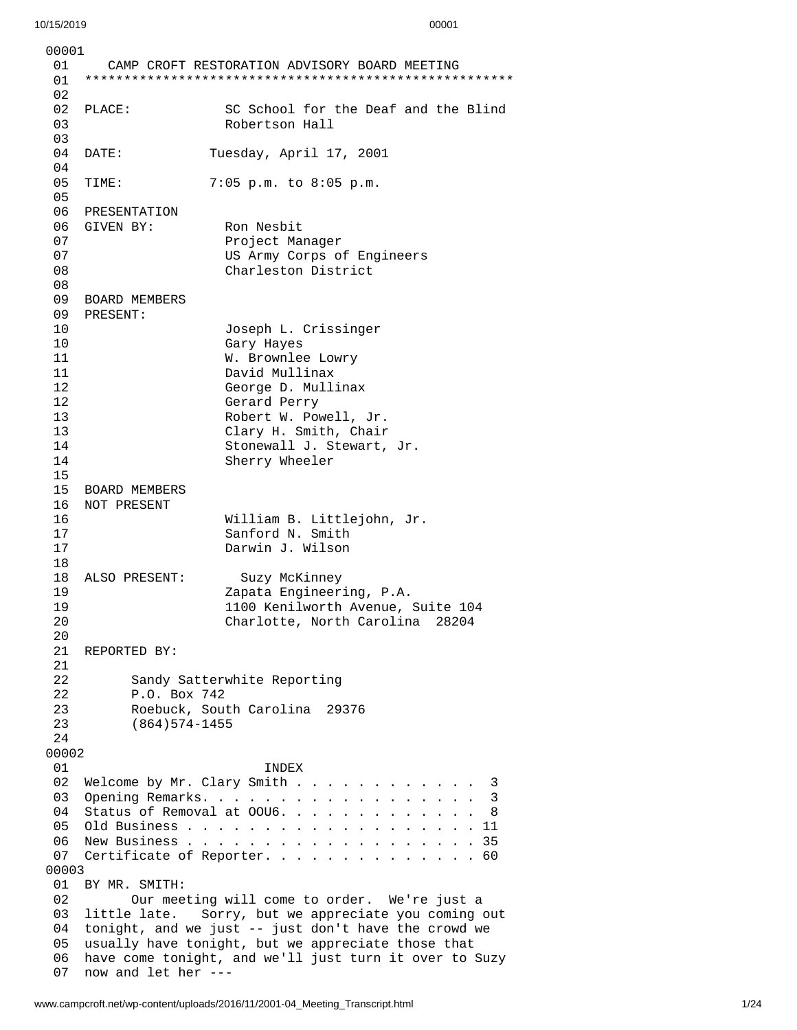0 0 0 0 1 0 1 CAMP CROFT RESTORATION ADVISORY BOARD MEETING 0 1 \* \* \* \* \* \* \* \* \* \* \* \* \* \* \* \* \* \* \* \* \* \* \* \* \* \* \* \* \* \* \* \* \* \* \* \* \* \* \* \* \* \* \* \* \* \* \* \* \* \* \* \* \* \* \* 0 2 0 2 PLACE: S C School for the Deaf and the Blind 0 3 Robertson Hall 0 3 04 DATE: TI uesday, April 17, 2001 0 4 0 5 T I M E: 7:0 5 p.m. t o 8:0 5 p.m. 05<br>06 PRESENTATION 06 GIVEN BY: Ron Nesbit 07 Project Manager 07 US Army Corps of Eng i n e e r s 0 8 Charleston District 0 8 0 9 BOARD MEMBERS 0 9 PRESENT: 10 Joseph L. Crissinger 1 0 Gary Hayes 1 1 W. Brownlee Lowry 1 1 David Mullinax 1 2 George D. Mullinax 1 2 Gerard Perry 1 3 Robert W. Powell, Jr. 13 Clary H. Smith, Chair 14 Stonewall J. Stewart, J r. 14 Sherry Wheeler 15 BOARD MEMBERS 16 NOT PRESENT 16 William B. Littlejohn, Jr. 17 Sanford N. Smith 17 Darwin J. Wilson 18<br>18 ALSO PRESENT: Suzy McKinney<br>19 Zapata Engineer Zapata Engineering, P.A. 19 1100 Kenilworth Avenue, Su i t e 1 0 4 2 0 Charlotte, North Carolina 28204 2 0 21 REPORTED BY: 2122 Sandy S a t t e r w h i t e R e p o r t i n g 2 2 P.O. B o x 7 4 2 2 3 Roebuck, South Carolina 29376 2 3 (864) 574-1455 2 4 0 0 0 0 2 0 1 I N D E X 02 Welcome by Mr. Clary Smith . . . . . . . . . . . . . 3 0 3 O p e n i n g R e m a r k s. . . . . . . . . . . . . . . . . . 3 04 Status of Removal at 00U6. . . . . . . . . . . . . 8 0 5 O l d B u s i n e s s . . . . . . . . . . . . . . . . . . . 1 1 0 6 N e w B u s i n e s s . . . . . . . . . . . . . . . . . . . 3 5 07 Certificate of Reporter. . . . . . . . . . . . . . . 60 0 0 0 0 3 01 BY MR. SMITH: 02 Our meeting will come to order. We're just a 03 little lat e. Sorry, but we appreciate you coming out 04 tonight, and we just -- just don't have the crowd we 0 5 usually have tonight, but we appreciate those that 06 have come tonight, and we'll just turn it over to Suzy 0 7 now and let her ---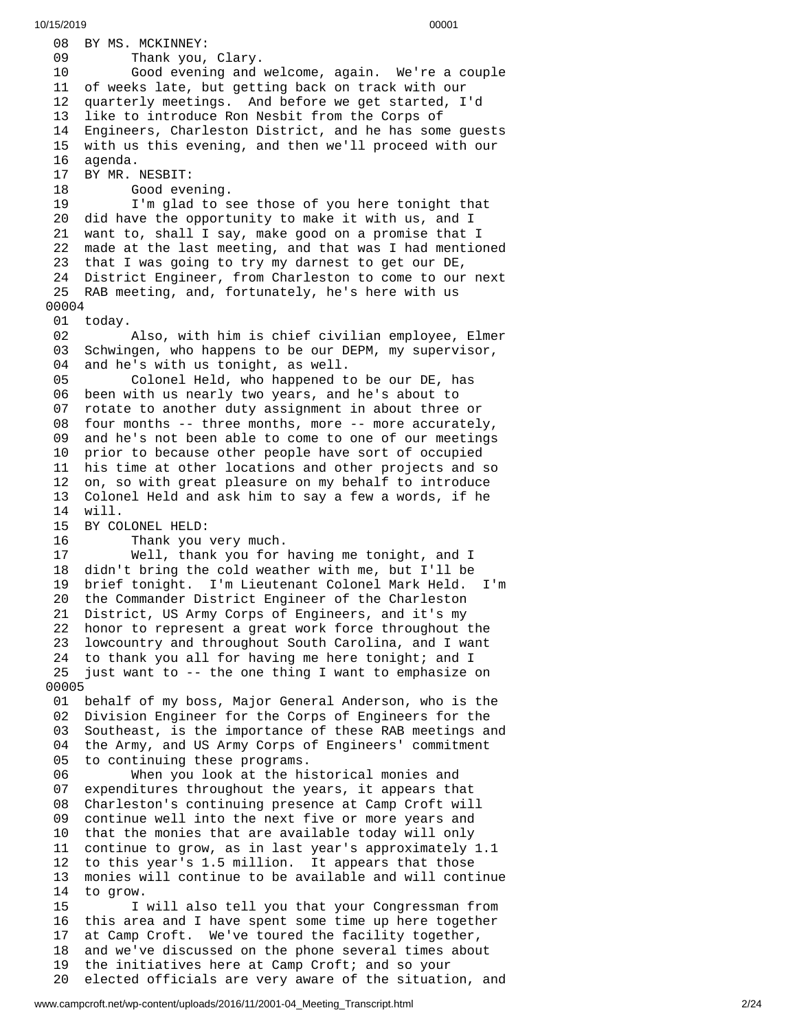08 BY MS. MCKINNEY: 09 Thank you, Clary. 10 Good evening and welcome, again. We're a couple 11 of weeks late, but getting back on track with our 1 2 quarterly meetings. And before we get started, I'd 1 3 like to introduce Ron Nesbit from the Corps of 14 Engineers, Charleston District, and he has some guests 1 5 with us this evening, and then we'll proceed with our 16 agenda. 17 BY MR. NESBIT: 18 Good eve n i n g. 19 I'm glad to see those of you here tonight that 20 did have the opportunity to make it with us, and I 21 want to, shall I say, make good on a promise that I 22 made at the last meeting, and that was I had mentioned 23 that I was going to try my darnest to get our DE, 24 District Engineer, from Charleston to come to our next 25 RAB meeting, and, fortunately, he's here with us 0 0 0 0 4 01 today. 02 Also, with him is chief civilian employee, Elmer 0 3 Schwingen, who happens to be our DEPM, my supervisor, 0 4 and he's with us tonight, as well. 05 Colonel Held, who happened to be our DE, has 06 been with us nearly two years, and he's about to 0 7 rotate to another duty assignment in about three or 08 four months -- three months, more -- more accurately, 0 9 and he's not been able to come to one of our meetings 1 0 prior to because other people have sort of occupied 11 his time at other locations and other projects and so 12 on, so with great pleasure on my behalf to introduce 13 Colonel Held and ask him to say a few a words, if he 1 4 w i l l. 15 BY COLONEL HELD: 16 Thank you very much. 17 Well, thank you for h a v i n g m e t o n i g h t , a n d I 18 didn't bring the cold weather with me, but I'll be 1 9 brief tonight. I'm Lieutenant Colonel Mark Held. I'm 20 the Commander District Engineer of the Charleston 21 District, US Army Corps of Engineers, and it's my 22 honor to represent a great work force throughout the 2 3 lowcountry and throughout South Carolina, and I want 24 to thank you all for having me here tonight; and I 25 just want to -- the one thing I want to emphasize on 0 0 0 0 5 01 behalf of my boss, Major General Anderson, who is the 02 Division Engineer for the Corps of Engineers for the 03 Southeast, is the importance of these RAB meetings and 04 the Army, and US Army Corps of Engineers' commitment 05 to continuing these programs. 06 When you look at the hi s t o r i c a l m o n i e s a n d 0 7 expenditures throughout the years, it appears that 0 8 Charleston's continuing presence at Camp Croft will 0 9 continue well into the next five or more years and 10 that the monies that are available today will only 11 continue to grow, as in last year's approximately 1.1 12 to this year's 1.5 million. It appears that those 1 3 monies will continue to be available and will continue 1 4 to grow.  $15$ will also tell you that your Congressman from 16 this area and I have spent some time up here together 1 7 at Camp Croft. We've toured the facility together, 1 8 and we've discussed on the phone several times about 1 9 the initiatives here at Camp Croft; and so your 2 0 elected officials are very aware of the situation, and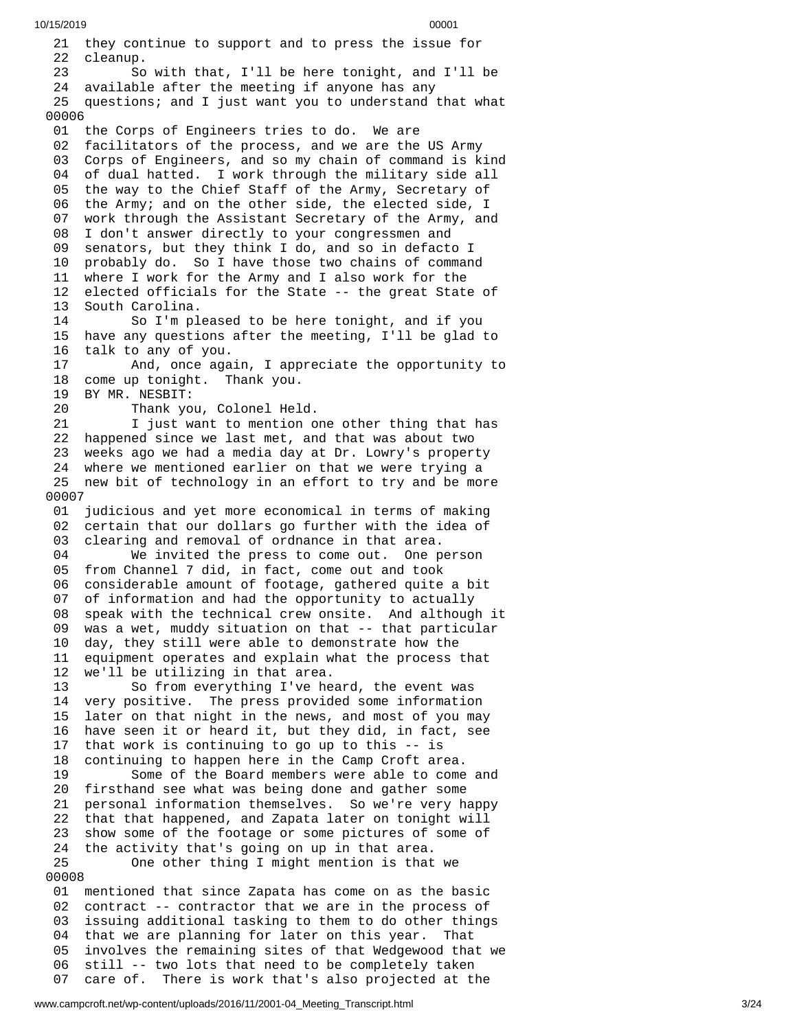21 they continue to support and to press the issue for 22 cleanup. 23 So w i t h t h a t , I'l l b e h e r e t o n i g h t , a n d I'l l b e 24 available after the meeting if anyone has any 25 questions; and I just want you to understand that what 0 0 0 0 6 01 the Corps of Engineers tries to do. We are 02 facilitators of the process, and we are the US Army 03 Corps of Engineers, and so my chain of command is kind 04 of dual hatted. I work through the military side all 05 the way to the Chief Staff of the Army, Secretary of 06 the Army; and on the other side, the elected side, I 0 7 work through the Assistant Secretary of the Army, and 08 I don't answer directly to your congressmen and 0 9 senators, but they think I do, and so in defacto I 10 probably do. So I have those two chains of command 11 where I work for the Army and I also work for the 12 elected officials for the State -- the great State of 13 South Carolina. 14 So I'm pleased to be here tonight, and if you 1 5 have any questions after the meeting, I'll be glad to 1 6 talk to any of you. 17 And, once aga i n , I a p p r e c i a t e t h e o p p o r t u n i t y t o 18 come up tonight. Thank you. 19 BY MR. NESBIT: 20 Thank you, Colonel Hel d. 21 I just want to mention one other thing that has 22 happened since we last met, and that was about two 23 weeks ago we had a media day at Dr. Lowry's property 24 where we mentioned earlier on that we were trying a 25 new bit of technology in an effort to try and be more 0 0 0 0 7 01 judicious and yet more economical in terms of making 02 certain that our dollars go further with the idea of 03 clearing and removal of ordnance in that area. 04 We invited the press to come out. One person 05 from Channel 7 did, in fact, come out and took 0 6 considerable amount of footage, gathered quite a bit 0 7 of information and had the opportunity to actually 0 8 speak with the technical crew onsite. And although it 0 9 was a wet, muddy situation on that -- that particular 10 day, they still were able to demonstrate how the 11 equipment operates and explain what the process that 1 2 we'll be utilizing in that area. 13 So from everything I've heard, the event was 14 very positive. The press provided some information 15 later on that night in the news, and most of you may 16 have seen it or heard it, but they did, in fact, see 1 7 that work is continuing to go up to this -- is 1 8 continuing to happen here in the Camp Croft area. 19 Some of the Board members were able to come a n d 20 firsthand see what was being done and gather some 2 1 personal information themselves. So we're very happy 2 2 that that happened, and Zapata later on tonight will 2 3 show some of the footage or some pictures of some of 2 4 the activity that's going on up in that area. 25 One other thing I might mention is that w e 0 0 0 0 8 01 mentioned that since Zapata has come on as the basic 02 contract -- contractor that we are in the process of 03 issuing additional tasking to them to do other things 04 that we are planning for later on this year. That

involves the remaining sites of that Wedgewood that we

still -- two lots that need to be completely taken 07 care of. There is work that's also projected at the

0 5

0 6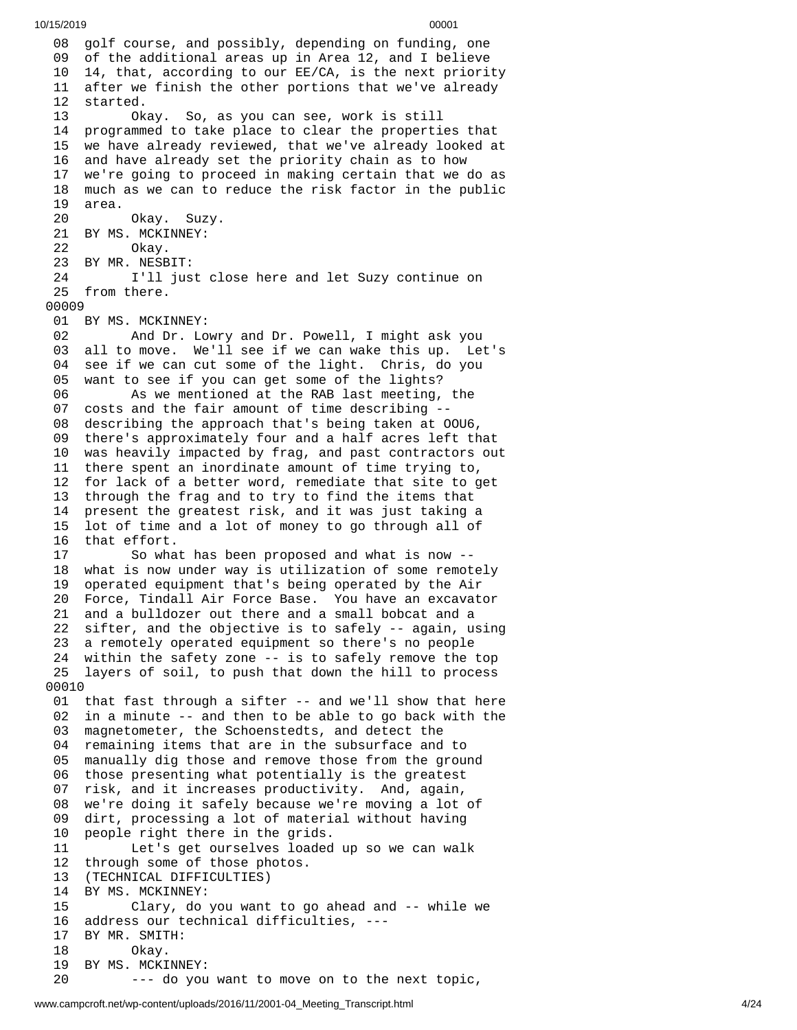08 golf course, and possibly, depending on funding, one 09 of the additional areas up in Area 12, and I believe 10 14, that, according to our EE/CA, is the next priority 11 after we finish the other portions that we've already 1 2 started. 13 Ok a y. S o , a s y o u c a n s e e , w o r k i s s t i l l 1 4 programmed to take place to clear the properties that 15 we have already reviewed, that we've already looked at 1 6 and have already set the priority chain as to how 1 7 we're going to proceed in making certain that we do as 18 much as we can to reduce the risk factor in the public 19 area. 20 Okay. Suzy. 21 BY MS. MCKINNEY: 22 Okay. 23 BY MR. NESBIT: 24 I'll just close here and let Suzy continue on 25 from there. 00009 01 BY MS. MCKINNEY: 02 And Dr. Lowry and Dr. Powell, I might ask you 03 all to move. We'll see if we can wake this up. L $\epsilon$ e t's 04 see if we can cut some of the light. Chris, do you 0 5 want to see if you can get some of the lights? 0 6 As we mentioned at the RAB last meeting, the 07 costs and the fair amount of time describing --08 describing the approach that's being taken at OOU6, 09 there's approximately four and a half acres left that 10 was heavily impacted by frag, and past contractors out 11 there spent an inordinate amount of time trying to, 12 for lack of a better word, remediate that site to get 13 through the frag and to try to find the items that 14 present the greatest risk, and it was just taking a 15 lot of time and a lot of money to go through all of 16 that effort. 17 So what has been proposed and what is now --18 what is now under way is utilization of some remotely 1 9 operated equipment that's being operated by the Air 20 Force, Tindall Air Force Base. You have an excavator 21 and a bulldozer out there and a small bobcat and a 22 sifter, and the objective is to safely -- again, using 23 a remotely operated equipment so there's no people 24 within the safety zone -- is to safely remove the top 25 layers of soil, to push that down the hill to process 00010 01 that fast through a sifter -- and we'll show that here 02 in a minute -- and then to be able to go back with the 0 3 magnetometer, the Schoenstedts, and detect the 04 remaining items that are in the subsurface and to 0 5 manually dig those and remove those from the ground 0 6 those presenting what potentially is the greatest 0 7 risk, and it increases productivity. And, again, 0 8 we're doing it safely because we're moving a lot of 0 9 dirt, processing a lot of material without having 1 0 people right there in the grids. 11 Let's get ourselves loaded u p s o w e c a n w a l k 1 2 through some of those photos. 13 (TECHNICAL DIFFICULTIES) 14 BY MS. MCKINNEY: 15 Clary, do you want to go ahead and -- while we 16 address our technical difficulties, ---1 7 BY MR. SMITH: 18 Okay. 19 BY MS. MCKINN E Y: 20 --- do you want to move on to the next topic,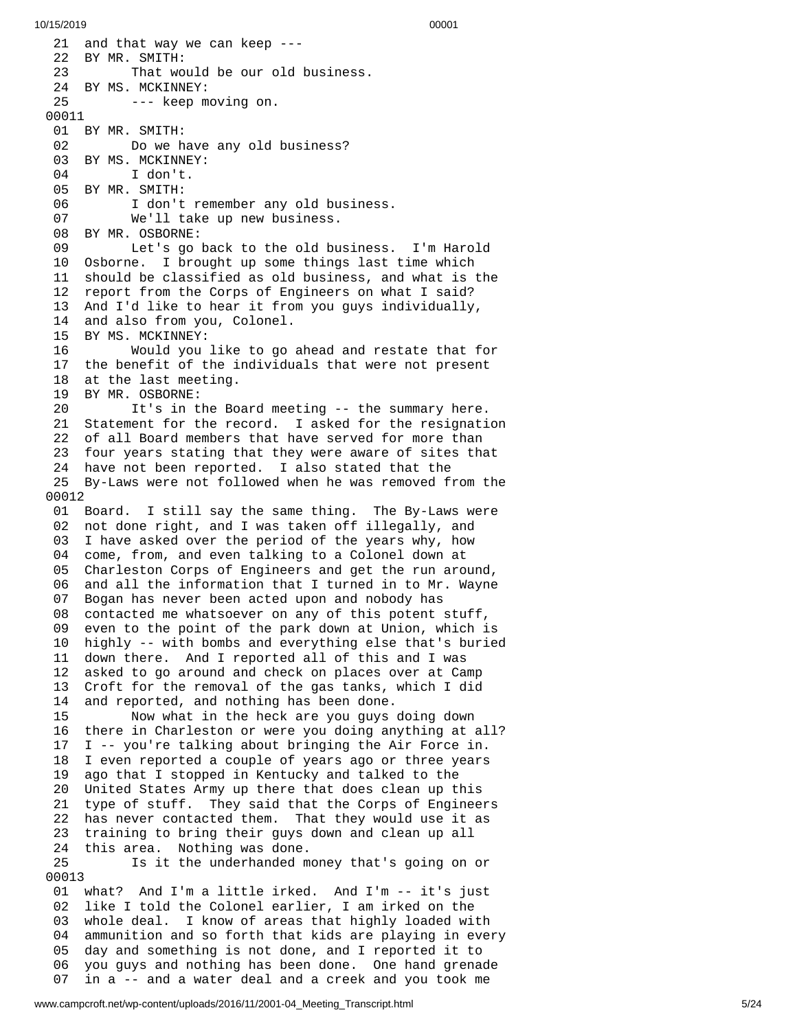21 and that way we can keep ---22 BY MR. SMITH: 23 That would be our old business. 24 BY MS. MCKINNEY: 25 --- keep moving on. 00011 01 BY MR. SMITH: 02 Do we have any old business? 03 BY MS. MCKINNEY: 04 I don't. 05 BY MR. SMITH: 06 I don't remember any old busine s s. 07 We'll take up new business. 08 BY MR. OSBORNE: 09 Let's go back to the old business. I'm Harold 10 Osborne. I brought up some things last time which 11 should be classified as old business, and what is the 12 report from the Corps of Engineers on what I said? 13 And I'd like to hear it from you guys individually, 14 and also from you, Colonel. 15 BY MS. MCKINNEY: 16 Would you like to go ahead and restate that for 17 the benefit of the individuals that were not present 18 at the last meeting. 19 BY MR. OSBORNE: 20 It's in the Board meeting -- the summary here. 21 Statement for the record. I asked for the resignati o n 22 of all Board members that have served for more than 23 four years stating that they were aware of sites that 24 have not been reported. I also stated that the 25 By-Laws were not followed when he was removed from the 0 0 0 1 2 01 Board. I still say the same thing. The By-Laws were 02 not done right, and I was taken off illegally, and 03 I have asked over the period of the years why, how 04 come, from, and even talking to a Colonel down at 0 5 Charleston Corps of Engineers and get the run around, 0 6 and all the information that I turned in to Mr. Wayne 0 7 Bogan has never been acted upon and nobody has 0 8 contacted me whatsoever on any of this potent stuff, 0 9 even to the point of the park down at Union, which is 10 highly -- with bombs and everything else that's buried 11 down there. And I reported all of this and I was 12 asked to go around and check on places over at Camp 13 Croft for the removal of the gas tanks, which I did 1 4 and reported, and nothing has been done. 15 Now what in the heck are you guys doing down 16 there in Charleston or were you doing anything at all? 1 7 I -- you're talking about bringing the Air Force in. 18 I even reported a couple of years ago or three years 19 ago that I stopped in Kentucky and talked to the 20 United States Army up there that does clean up this 21 type of stuff. They said that the Corps of Engineer s 22 has never contacted them. That they would use it as 23 training to bring their guys down and clean up all 24 this area. Nothing was done. 25 Is it the underhanded money that's going on or 0 0 0 1 3 01 what? And I'm a little irked. And I'm -- it's just 02 like I told the Colonel earlier, I am irked on the 03 whole deal. I know of areas that highly loaded with 0 4 ammunition and so forth that kids are playing in every 0 5 day and something is not done, and I reported it to 0 6 you guys and nothing has been done. One hand grenade 07 in a -- and a water deal and a creek and you took me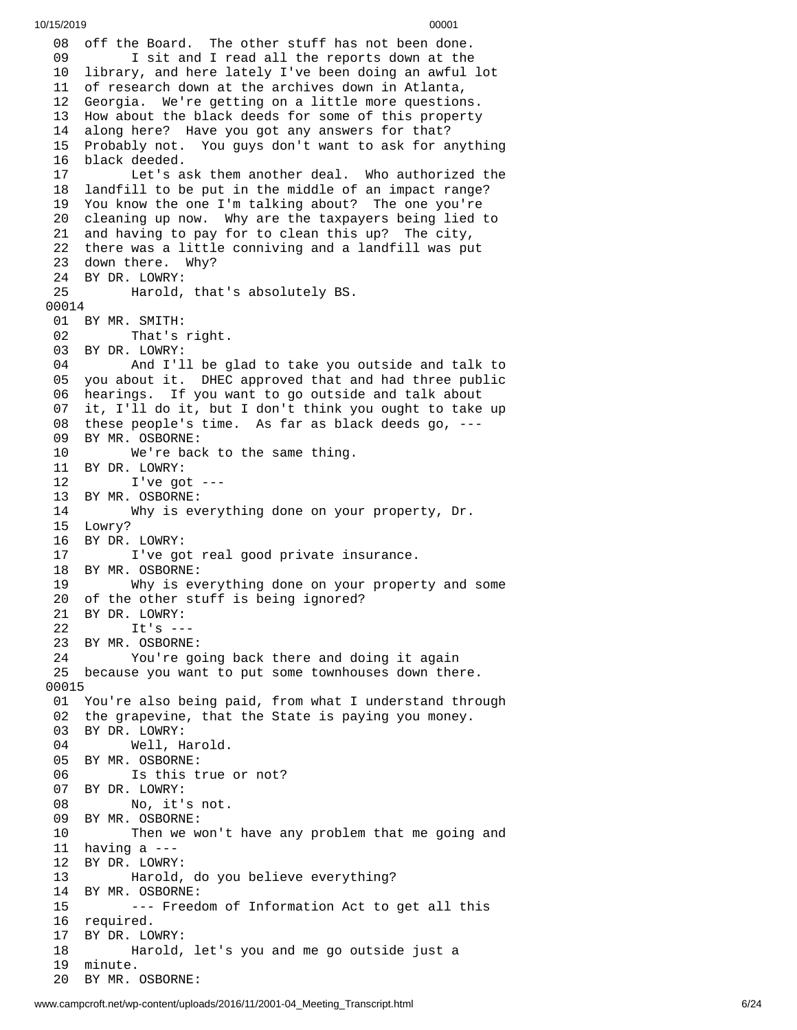08 off the Board. The other stuff has not been done. 09 I sit and I read all the reports down at the 10 library, and here lately I've been doing an awful l o t 11 of research down at the archives down in Atlanta, 12 Georgia. We're getting on a little more questions. 13 How about the black deeds for some of this property 14 along here? Have you got any answers for that? 15 Probably not. You guys don't want to ask for anyth i n g 16 black deeded. 17 Let's ask them another deal. Who authorized the 18 landfill to be put in the middle of an impact range? 19 You know the one I'm talking about? The one you're 20 cleaning up now. Why are the taxpayers being lied to 21 and having to pay for to clean this up? The city, 22 there was a little conniving and a landfill was put 23 down there. Why? 24 BY DR. LOWRY: 25 Harold, that's absolutely BS. 00014 01 BY MR. SMITH: 02 That's right. 03 BY DR. LOWRY:<br>04 And I'l 04 And I'll be glad to take you o u t s i d e a n d t a l k t o 05 you about it. DHEC approved that and had three public 06 hearings. If you want to go outside and talk about 07 it, I'll do it, but I don't think you ought to take up 08 these people's time. As far as black deeds go, ---09 BY MR. OSBORNE: 10 We're back to the same thing. 11 BY DR. LOWRY: 12 I've got --- 13 BY MR. OSBORNE: 14 Why is everything done on you r p r o p e r t y , D r. 15 Lowry? 16 BY DR. LOWRY: 17 I've got real good private insurance. 18 BY MR. OSBORNE: 19 Why is everything done on your property and s o m e 20 of the other stuff is being ignored? 21 BY DR. LOWRY: 22 It's -- - 23 BY MR. OSBORNE: 24 You're going back there and doing it again 25 because you want to put some townhouses down there. 00015 01 You're also being paid, from what I understand through 02 the grapevine, that the State is paying you money. 03 BY DR. LOWRY: 04 Well, Harold. 05 BY MR. OSBORNE: 06 Is this true or not? 07 BY DR. LOWRY: 08 No, it's not. 09 BY MR. OSBORNE: 10 Then we won't have any problem that me going a n d 11 having a ---1 2 B Y D R. L O W R Y: 13 Harold, do you believe everything? 1 4 B Y M R. O S B O R N E: 15 --- Freedom of Information Act to get all this 16 required. 17 BY DR. LOWRY: 18 Harold, let's you and me go outside just a 1 9 minute. 20 BY MR. OSBORNE: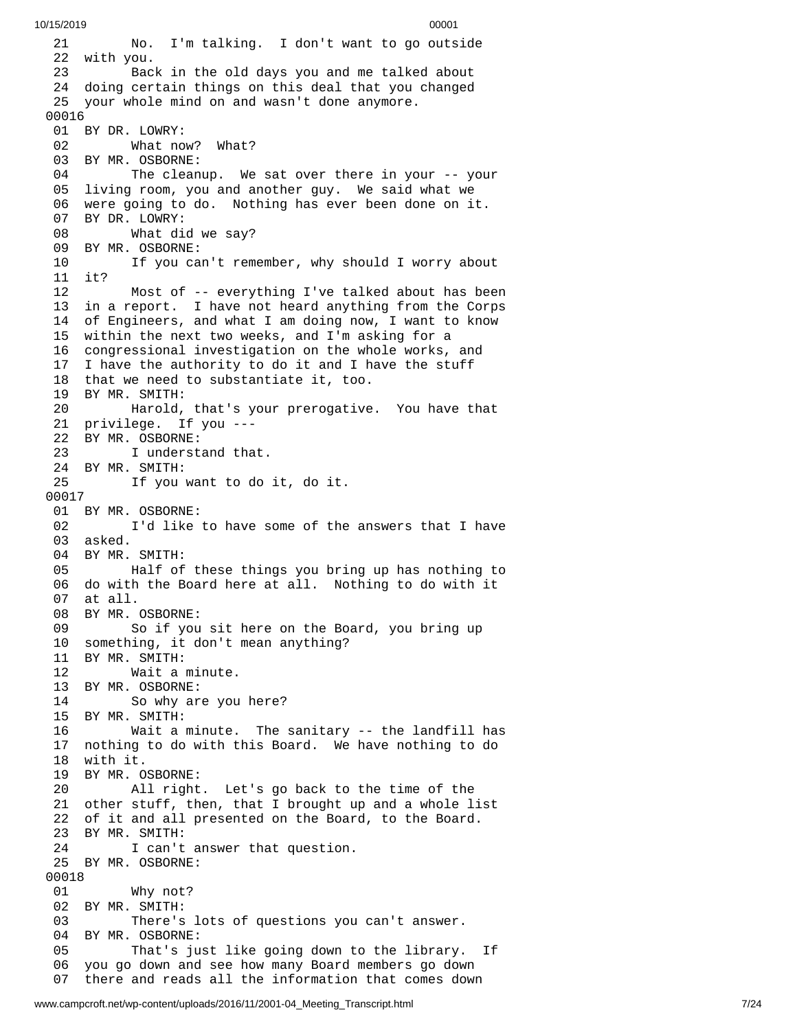2 1 No. I'm talking. I don't want to go outside 22 with you. 23 Bac k i n t h e o l d d a y s y o u a n d m e t a l k e d a b o u t 24 doing certain things on this deal that you changed 25 your whole mind on and wasn't done anymore. 00016 01 BY DR. LOWRY: 02 What now? What? 03 BY MR. OSBORNE: 04 The cleanup. We sat over there in your -- your 05 living room, you and another guy. We said what we 06 were going to do. Nothing has ever been done on it. 07 BY DR. LOWRY: 08 What did we say? 09 BY MR. OSBORNE: 10 If you can't remember, why should I worry abou t 11 it? 1 2 Most of -- everything I've talked about has been 13 in a report. I have not heard anything from the Corps 14 of Engineers, and what I am doing now, I want to know 15 within the next two weeks, and I'm asking for a 16 congressional investigation on the whole works, and 17 I have the authority to do it and I have the stuff 18 that we need to substantiate it, too. 19 BY MR. SMITH: 20 Harold, that's your prerogative. You have that 21 privilege. If you ---22 BY MR. OSBORNE: 23 I understand that. 24 BY MR. SMITH:<br>25 If you 25 If you want to do it, do it. 00017 01 BY MR. OSBORNE: 02 I'd like to have some of the answers that I have 03 asked. 04 BY MR. SMITH: 05 Half of these things you bring up has nothing to 06 do with the Board here at all. Nothing to do with it 07 at all. 08 BY MR. OSBORNE: 09 So if you sit here on the Board, you bring up 10 something, it don't mean anything? 11 BY MR. SMITH: 12 Wait a m i n u t e. 13 BY MR. OSBORNE:<br>14 So why ar 14 So why are you h e r e ? 15 BY MR. SMITH: 16 Wait a m i n u t e. T h e s a n i t a r y - - t h e l a n d f i l l h a s 17 nothing to do with this Board. We have nothing to do 18 with it. 19 BY MR. OSBORNE: 20 All right. Let's go back to the time of the 21 other stuff, then, that I brought up and a whole list 22 of it and all presented on the Board, to the Board. 23 BY MR. SMITH: 24 I can't answer that question. 25 BY MR. OSBORNE: 00018 01 Why not? 02 BY MR. SMITH: There's lots of questions you can't answer. 04 BY MR. OSBORNE: 05 That's just like going down to the library. I If 0 6 you go down and see how many Board members go down 07 there and reads all the information that comes down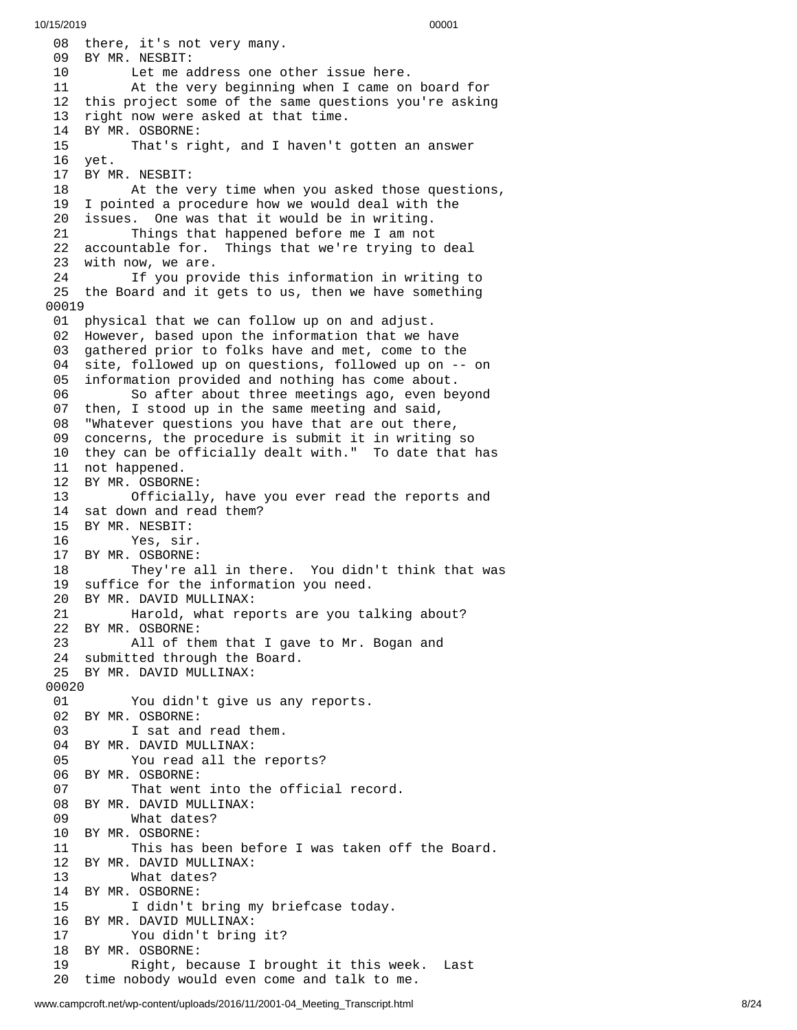08 there, it's not very many. 09 BY MR. NESBIT: 10 Let me address one other issue here. 11 At the very beginning when I came on board for 12 this project some of the same questions you're asking 1 3 right now were asked at that time. 14 BY MR. OSBORNE: 15 That's right, and I haven't gotten an answer 1 6 y e t. 17 BY MR. NESBIT: 18 At the very time when you asked those questions, 1 9 I pointed a procedure how we would deal with the 2 0 issues. One was that it would be in writing. 21 Things that happened before me I am not 22 accountable for. Things that we're trying to d e a l 23 with now, we are. 24 If you provide this information in writing to 25 the Board and it gets to us, then we have something 00019 01 physical that we can follow up on and adjust. 02 However, based upon the information that we have 0 3 gathered prior to folks have and met, come to the 0 4 site, followed up on questions, followed up on -- on 0 5 information provided and nothing has come about. 06 So after about three meetings ago, even beyond 0 7 then, I stood up in the same meeting and said, 08 "Whatever questions you have that are out there, 09 concerns, the procedure is submit it in writing so 10 they can be officially dealt with." To date that has 11 not happened. 12 BY MR. OSBORN E: 13 Officiall y , h a v e y o u e v e r r e a d t h e r e p o r t s a n d 14 sat down and read them? 15 BY MR. NESBIT: 16 Yes, sir. 17 BY MR. OSBORNE: 18 They're all in there. You didn't think that was 19 suffice for the information you need. 20 BY MR. DAVID MULLINAX:<br>21 Harold, what rep 21 Harold, what reports are you talking about? 22 BY MR. OSBORNE: 23 All of th e m t h a t I g a v e t o M r. B o g a n a n d 24 submitted through the Board. 25 BY MR. DAVID MULLINAX: 00020 01 You didn't give us any reports. 02 BY MR. OSBORNE: 03 I sat and read them. 04 BY MR. DAVID MULLINAX: 05 You read all the reports? 06 BY MR. OSBORNE: 07 That went into the official record. 08 BY MR. DAVID MULLINAX: 09 What dates? 10 BY MR. OSBORNE: 11 This has been before I was taken off the Board. 12 BY MR. DAVID MULLINAX: 13 What dates? 14 BY MR. OSBORNE: 15 I didn't bring my briefcase today. 16 BY MR. DAVID MULLINAX: 17 You didn't bring it? 18 BY MR. OSBORNE: 19 Right, because I brought it this week. Last 20 time nobody would even come and talk to me.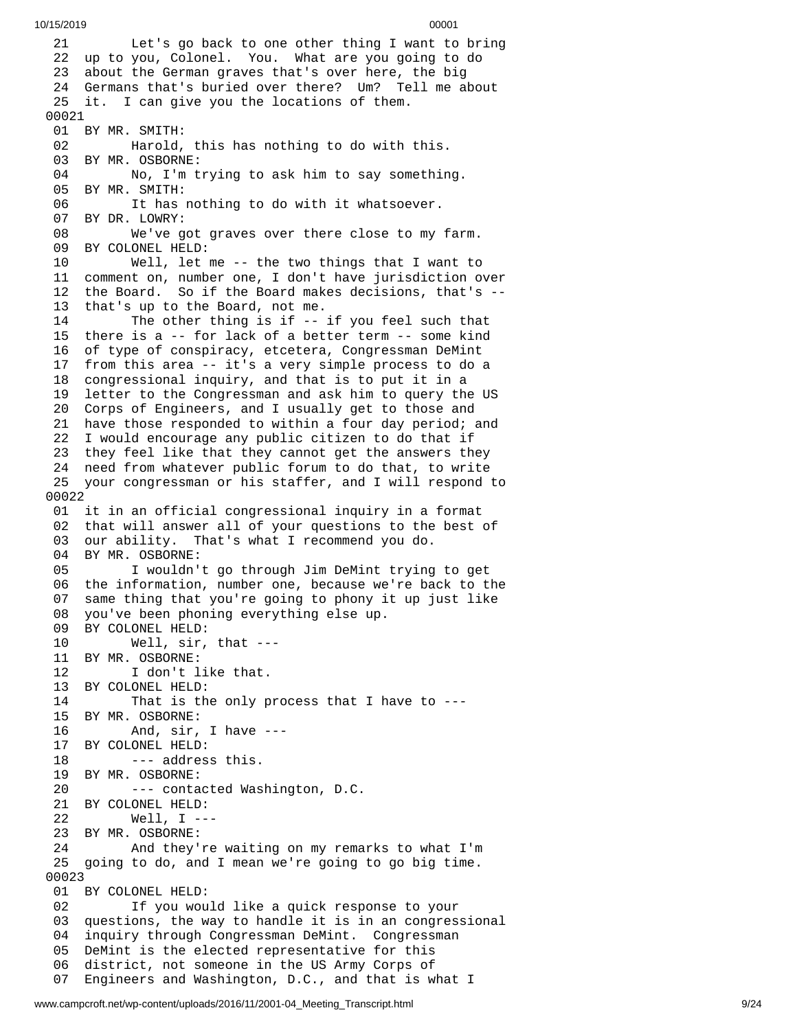2 1 Let's go back to one other thing I want to bring 22 up to you, Colonel. You. What are you going to do 23 about the German graves that's over here, the big 24 Germans that's buried over there? Um? Tell me about 25 it. I can give you the locations of them. 00021 01 BY MR. SMITH: 02 Harold, this has nothing to do with this. 03 BY MR. OSBORNE: 04 No, I'm trying to ask him to say somethin g. 05 BY MR. SMITH: 06 It has nothing to do with it whatsoever. 07 BY DR. LOWRY: 08 We've got graves over there close to my far m. 09 BY COLONEL HELD: 10 Well, let me -- the two things that I want to 11 comment on, number one, I don't have jurisdiction o v e r 12 the Board. So if the Board makes decisions, that's --13 that's up to the Board, not me. 14 The other thing is if -- i f y o u f e e l s u c h t h a t 1 5 there is a -- for lack of a better term -- some kind 1 6 of type of conspiracy, etcetera, Congressman DeMint 1 7 from this area -- it's a very simple process to do a 18 congressional inquiry, and that is to put it in a 19 letter to the Congressman and ask him to query the US 20 Corps of Engineers, and I usually get to those and 21 have those responded to within a four day period; and 22 I would encourage any public citizen to do that if 23 they feel like that they cannot get the answers they 24 need from whatever public forum to do that, to write 25 your congressman or his staffer, and I will respond to 0 0 0 2 2 01 it in an official congressional inquiry in a format 02 that will answer all of your questions to the best of 03 our ability. That's what I recommend you do. 04 BY MR. OSBORNE: 05 I wouldn't go through Jim DeMint trying to get 06 the information, number one, because we're back to the 0 7 same thing that you're going to phony it up just like 0 8 you've been phoning everything else up. 09 BY COLONEL HELD: 10 Well, sir, that --- 11 BY MR. OSBORNE: 12 I don't like that. 13 BY COLONEL HELD:<br>14 That is th 14 That is the only process that I have to ---1 5 B Y M R. O S B O R N E: 16 And, sir, I h a v e - - - 1 7 BY COLONEL HELD: 18 --- addres s t h i s. 19 BY MR. OSBORNE: 20 --- contacted Washington, D.C. 21 BY COLONEL HELD: 22 Well, I --- 23 BY MR. OSBORNE: 24 And they're waiting on my rema r k s t o w h a t I'm 25 going to do, and I mean we're going to go big time. 00023 01 BY COLONEL HELD: 02 If you would like a quick response to your 03 questions, the way to handle it is in an congressio n a l 04 inquiry through Congressman DeMint. Congressman 05 DeMint is the elected representative for this 0 6 district, not someone in the US Army Corps of 07 Engineers and Washington, D.C., and that is what I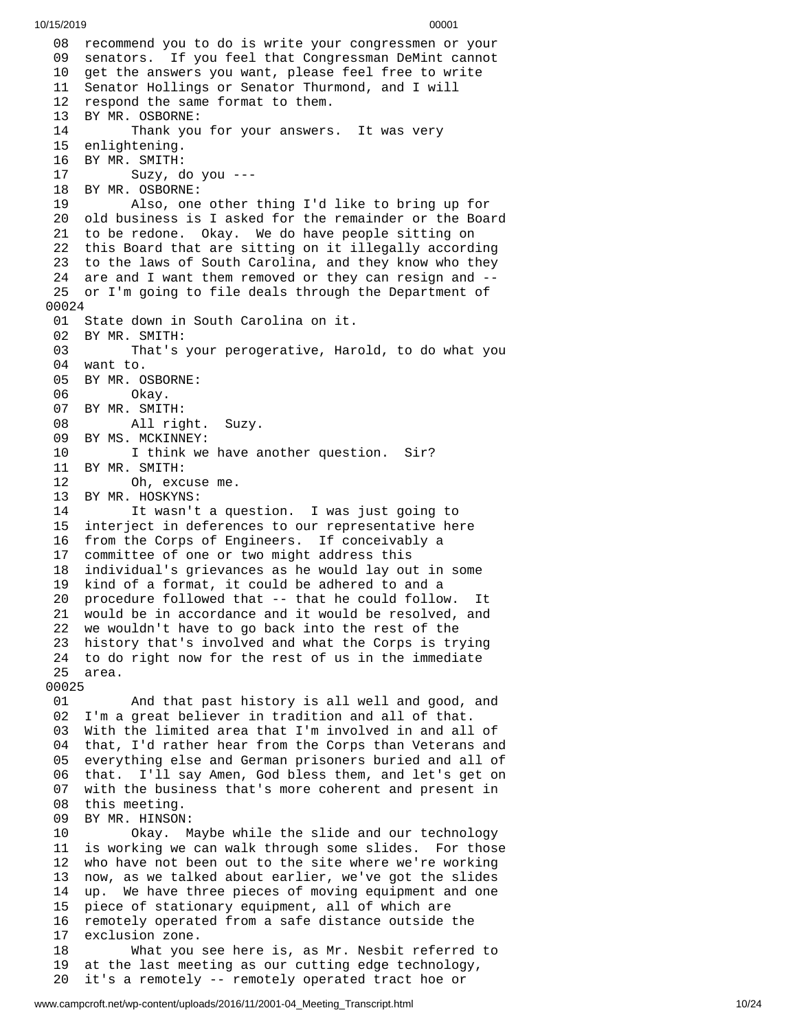08 recommend you to do is write your congressmen or your 09 senators. If you feel that Congressman DeMint cannot 10 get the answers you want, please feel free to write 11 Senator Hollings or Senator Thurmond, and I will 12 respond the same format to them. 13 BY MR. OSBORNE: 14 Thank you for your answers. It was very 15 enlightening. 16 BY MR. SMITH: 17 Suzy, d o y o u - - - 18 BY MR. OSBORNE: 19 Also, one o t h e r t h i n g I'd l i k e t o b r i n g u p f o r 20 old business is I asked for the remainder or the Board 21 to be redone. Okay. We do have people sitting on 22 this Board that are sitting on it illegally according 23 to the laws of South Carolina, and they know who they 24 are and I want them removed or they can resign and --25 or I'm going to file deals through the Department of 0 0 0 2 4 01 State down in South Carolina on it. 02 BY MR. SMITH:<br>03 That's 03 That's your perogerative, Harold, to do what you 04 want to. 05 BY MR. OSBORNE: 06 Okay. 07 BY MR. SMITH: 08 All right. S u z y. 09 BY MS. MCKINNEY: 10 I think we have another question. Sir? 11 BY MR. SMITH: 12 Oh, excuse me. 13 BY MR. HOSKYNS: 14 It wasn't a question. I was just going to 15 interject in deferences to our representative here 16 from the Corps of Engineers. If conceivably a 1 7 committee of one or two might address this 1 8 individual's grievances as he would lay out in some 1 9 kind of a format, it could be adhered to and a 20 procedure followed that -- that he could follow. I - It 21 would be in accordance and it would be resolved, and 22 we wouldn't have to go back into the rest of the 23 history that's involved and what the Corps is trying 24 to do right now for the rest of us in the immediate 25 area. 00025 01 And that past history is all well and good, and 02 I'm a great believer in tradition and all of that. 03 With the limited area that I'm involved in and all o f 04 that, I'd rather hear from the Corps than Veterans and 05 everything else and German prisoners buried and all of 06 that. I'll say Amen, God bless them, and let's get on 07 with the business that's more coherent and present in 08 this meeting. 09 BY MR. HINSON: 10 Okay. M a y b e w h i l e t h e s l i d e a n d o u r t e c h n o l o g y 11 is working we can walk through some slides. For those 12 who have not been out to the site where we're working 13 now, as we talked about earlier, we've got the slides 1 4 up. We have three pieces of moving equipment and one 1 5 piece of stationary equipment, all of which are 16 remotely operated from a safe distance outside the 1 7 exclusion zone. 18 What you s e e h e r e i s , a s M r. N e s b i t r e f e r r e d t o 1 9 at the last meeting as our cutting edge technology, 2 0 it's a remotely -- remotely operated tract hoe or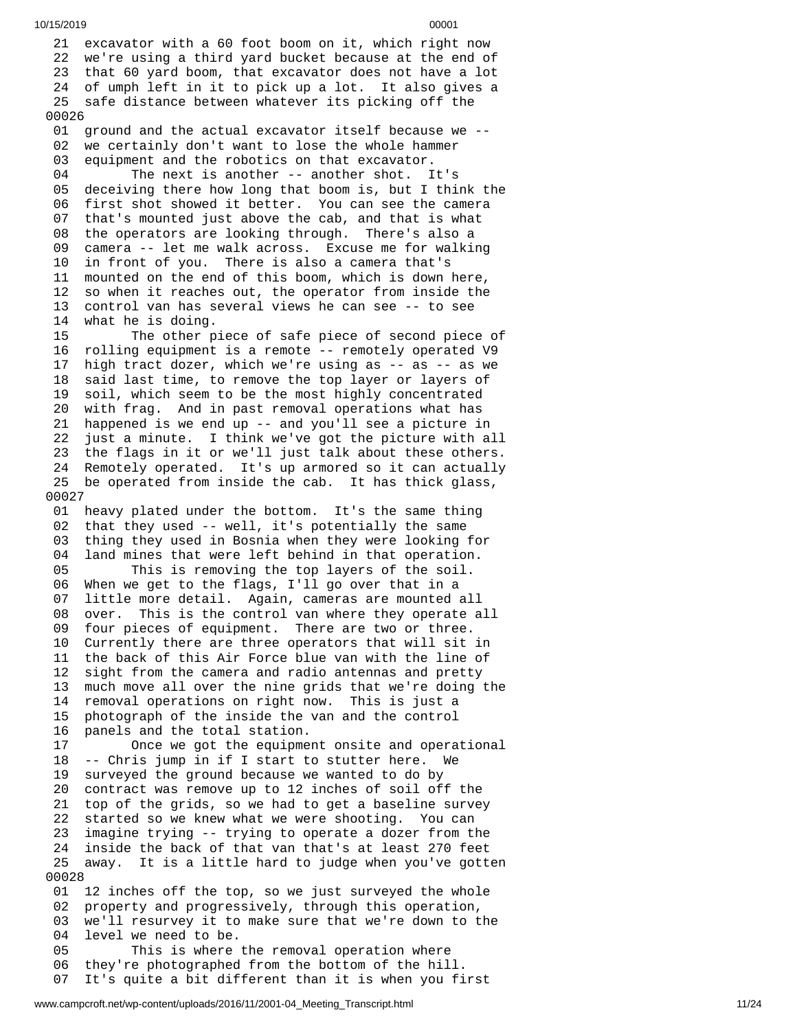21 excavator with a 60 foot boom on it, which right now 22 we're using a third yard bucket because at the end of 23 that 60 yard boom, that excavator does not have a lot 24 of umph left in it to pick up a lot. It also gives a 25 safe distance between whatever its picking off the 0 0 0 2 6 01 ground and the actual excavator itself because we --0 2 we certainly don't want to lose the whole hammer 0 3 equipment and the robotics on that excavator. 04 The next is another -- another shot. I t's 05 deceiving there how long that boom is, but I think the 06 first shot showed it better. You can see the camera 0 7 that's mounted just above the cab, and that is what 08 the operators are looking through. There's also a 09 camera -- let me walk across. Excuse me for walking 10 in front of you. There is also a camera that's 1 1 mounted on the end of this boom, which is down here, 12 so when it reaches out, the operator from inside the 13 control van has several views he can see -- to see 1 4 what he is doing. 15 The other piece of safe piece of second piece of 16 rolling equipment is a remote -- remotely operated V9 1 7 high tract dozer, which we're using as -- as -- as we 1 8 said last time, to remove the top layer or layers of 1 9 soil, which seem to be the most highly concentrated 2 0 with frag. And in past removal operations what has 21 happened is we end up -- and you'll see a picture in 2 2 just a minute. I think we've got the picture with all 23 the flags in it or we'll just talk about these others. 24 Remotely operated. It's up armored so it can actually 25 be operated from inside the cab. It has thick glass, 0 0 0 2 7 01 heavy plated under the bottom. It's the same thing 02 that they used -- well, it's potentially the same 0 3 thing they used in Bosnia when they were looking for 0 4 land mines that were left behind in that operation. 05 This is removing the top layers of the soil. 06 When we get to the flags, I'll go over that in a 07 little more detail. Again, cameras are mounted all 08 over. This is the control van where they operate a l l 09 four pieces of equipment. There are two or three. 10 Currently there are three operators that will sit i n 11 the back of this Air Force blue van with the line of 1 2 sight from the camera and radio antennas and pretty 1 3 much move all over the nine grids that we're doing the 14 removal operations on right now. This is just a 1 5 photograph of the inside the van and the control 1 6 panels and the total station. 17 Once we got the equipment onsite and operational 18 -- Chris jump in if I start to stutter here. We 1 9 surveyed the ground because we wanted to do by 2 0 contract was remove up to 12 inches of soil off the 21 top of the grids, so we had to get a baseline survey 2 2 started so we knew what we were shooting. You can 2 3 imagine trying -- trying to operate a dozer from the 2 4 inside the back of that van that's at least 270 feet 25 away. It is a little hard to judge when you've gotten 0 0 0 2 8 01 12 inches off the top, so we just surveyed the whole 02 property and progressively, through this operation, 03 we'll resurvey it to make sure that we're down to the 0 4 level we need to be. 05 This is where the removal operation where 0 6 they're photographed from the bottom of the hill. 07 It's quite a bit different than it is when you first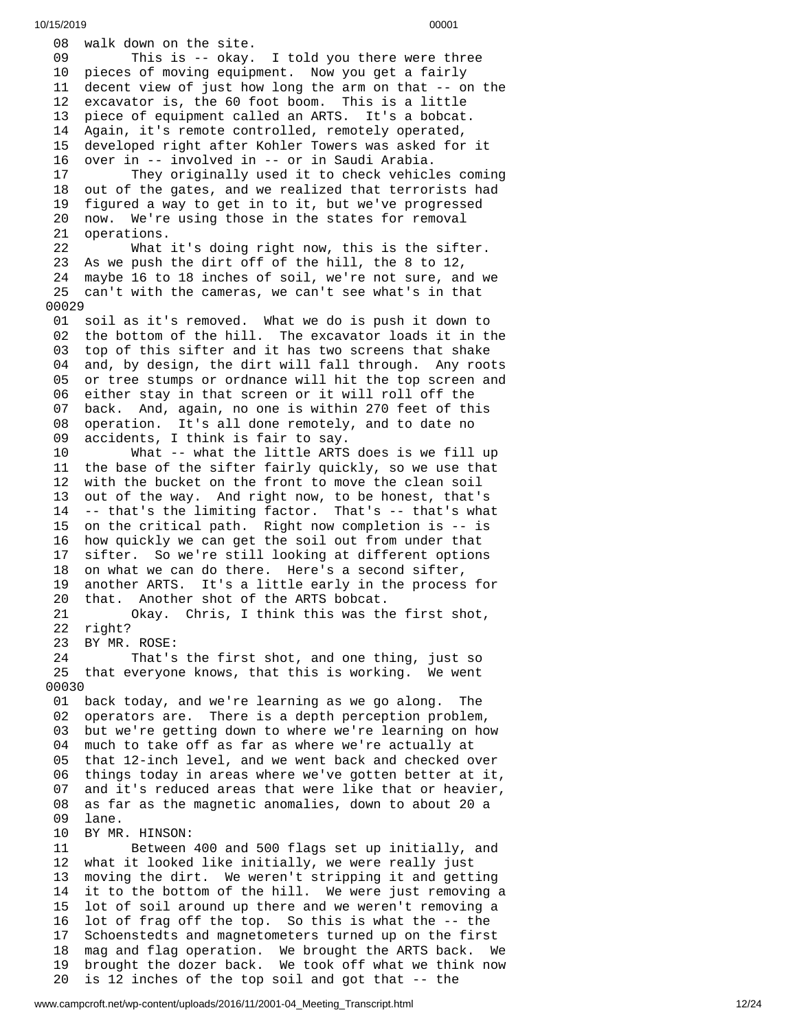08 walk down on the site. 09 This is -- okay. I told you there were three 10 pieces of moving equipment. Now you get a fairly 11 decent view of just how long the arm on that -- on the 12 excavator is, the 60 foot boom. This is a little 13 piece of equipment called an ARTS. It's a bobca piece of equipment called an ARTS. It's a bobcat. 14 Again, it's remote controlled, remotely operated, 15 developed right after Kohler Towers was asked for i t 16 over in -- involved in -- or in Saudi Arabia. 17 They originally used it to check vehicl e s c o m i n g 18 out of the gates, and we realized that terrorists had 19 figured a way to get in to it, but we've progressed 20 now. We're using those in the states for removal 21 operations. 22 What i t's d o i n g r i g h t n o w , t h i s i s t h e s i f t e r. 23 As we push the dirt off of the hill, the 8 to 12, 24 maybe 16 to 18 inches of soil, we're not sure, and w e 25 can't with the cameras, we can't see what's in that 0 0 0 2 9 01 soil as it's removed. What we do is push it down to 02 the bottom of the hill. The excavator loads it in the 03 top of this sifter and it has two screens that shake 0 4 and, by design, the dirt will fall through. Any roots 0 5 or tree stumps or ordnance will hit the top screen and 0 6 either stay in that screen or it will roll off the 0 7 back. And, again, no one is within 270 feet of this 08 operation. It's all done remotely, and to date no 0 9 accidents, I think is fair to say. 10 What -- what the little ARTS d o e s i s w e f i l l u p 11 the base of the sifter fairly quickly, so we use that 12 with the bucket on the front to move the clean soil 1 3 out of the way. And right now, to be honest, that's 14 -- that's the limiting factor. That's -- that's what 15 on the critical path. Right now completion is -- is 16 how quickly we can get the soil out from under that 1 7 sifter. So we're still looking at different options 18 on what we can do there. Here's a second sifter, 1 9 another ARTS. It's a little early in the process for 2 0 that. Another shot of the ARTS bobcat. 21 Okay. Chris, I think this was th e f i r s t s h o t , 22 right? 23 BY MR. ROSE: 24 That's the first shot, and one thing, just so 25 that everyone knows, that this is working. We went 0 0 0 3 0 01 back today, and we're learning as we go along. Th h e 02 operators are. There is a depth perception problem, 03 but we're getting down to where we're learning on how 04 much to take off as far as where we're actually at 05 that 12-inch level, and we went back and checked over 0 6 things today in areas where we've gotten better at it, 0 7 and it's reduced areas that were like that or heavier, 0 8 as far as the magnetic anomalies, down to about 20 a 0 9 lane. 10 BY MR. HINSON: 11 Between 400 and 500 flags set up initially, and 12 what it looked like initially, we were really just 1 3 moving the dirt. We weren't stripping it and getting 1 4 it to the bottom of the hill. We were just removing a 15 lot of soil around up there and we weren't removing a 16 lot of frag off the top. So this is what the -- the 1 7 Schoenstedts and magnetometers turned up on the first 1 8 mag and flag operation. We brought the ARTS back. We 1 9 brought the dozer back. We took off what we think now

20 is 12 inches of the top soil and got that -- the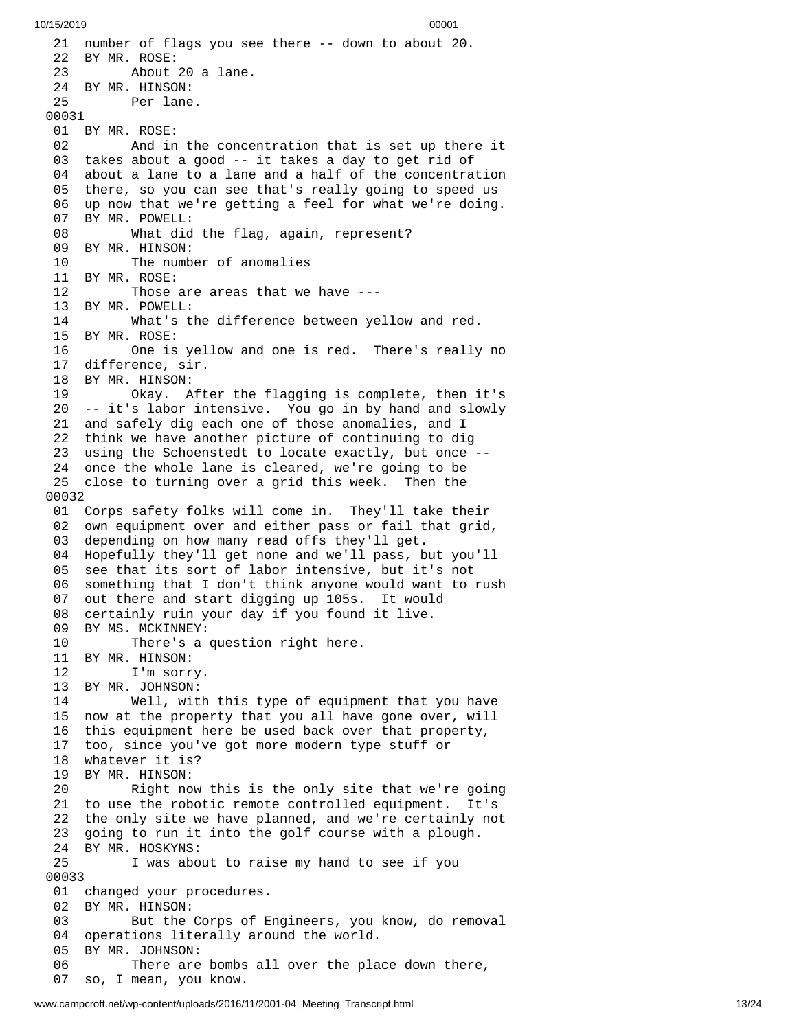21 number of flags you see there -- down to about 20. 22 BY MR. ROSE: 23 About 20 a lane. 24 BY MR. HINSON: 25 Per lane. 00031 01 BY MR. ROSE: 02 And in the concentration that is set up ther e i t 03 takes about a good -- it takes a day to get rid of 0 4 about a lane to a lane and a half of the concentration 05 there, so you can see that's really going to speed us 06 up now that we're getting a feel for what we're doing. 07 BY MR. POWELL: 08 What did the flag, again, represent? 09 BY MR. HINSON: 10 The number of anomalies 11 BY MR. ROSE: 12 Those are areas that we have --- 13 BY MR. POWELL: 14 What's the difference between yellow and red. 15 BY MR. ROSE: 16 One is yellow and one is red. There's really no 17 difference, sir. 18 BY MR. HINSON: 19 Okay. After the flagging is complete, then it's 20 -- it's labor intensive. You go in by hand and slowly 21 and safely dig each one of those anomalies, and I 22 think we have another picture of continuing to dig 23 using the Schoenstedt to locate exactly, but once -- 24 once the whole lane is cleared, we're going to be 25 close to turning over a grid this week. Then the 0 0 0 3 2 01 Corps safety folks will come in. They'll take their 02 own equipment over and either pass or fail that grid, 03 depending on how many read offs they'll get. 04 Hopefully they'll get none and we'll pass, but you'll 0 5 see that its sort of labor intensive, but it's not 0 6 something that I don't think anyone would want to rush 0 7 out there and start digging up 105s. It would 0 8 certainly ruin your day if you found it live. 09 BY MS. MCKINNEY:<br>10 There's a There's a question right here. 11 BY MR. HINSON: 12 I'm sorry. 13 BY MR. JOHNSON:<br>14 Well, wit 14 Well, with this type of equipment that y o u h a v e 15 now at the property that you all have gone over, will 16 this equipment here be used back over that property, 17 too, since you've got more modern type stuff or 18 whatever it is? 19 BY MR. HINSON: 20 Right now this is the only site that we're going 21 to use the robotic remote controlled equipment. It's 22 the only site we have planned, and we're certainly not 23 going to run it into the golf course with a plough. 24 BY MR. HOSKYNS: 25 I was about to raise my hand to see if you 0 0 0 3 3 01 changed your procedures. 02 BY MR. HINSON: 03 But the Corps of Engineers, you know, do removal 04 operations literally around the world. 05 BY MR. JOHNSON: 06 There are bombs all over the place down there, 0 7 so, I mean, you know.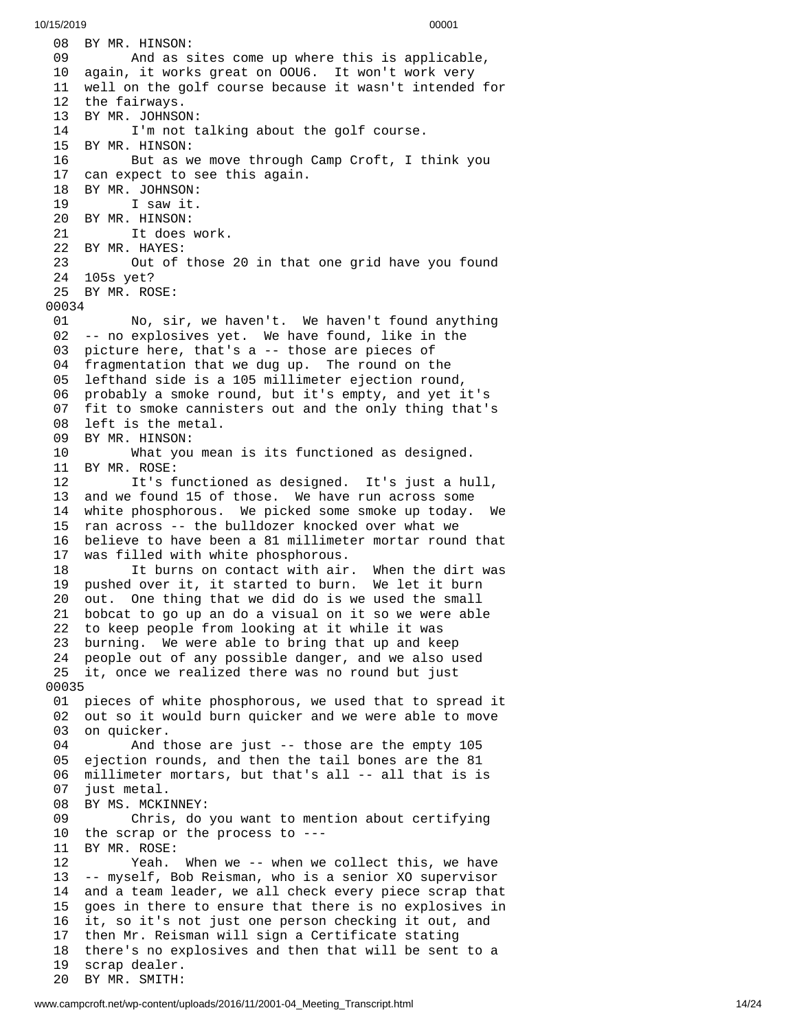08 BY MR. HINSON: 09 And as s i t e s c o m e u p w h e r e t h i s i s a p p l i c a b l e , 10 again, it works great on OOU6. It won't work very 11 well on the golf course because it wasn't intended for 12 the fairways. 13 BY MR. JOHNSO N: 14 I'm not talking about the golf course. 15 BY MR. HINSON: 16 But as we move through Camp Croft, I think you 17 can expect to see this again. 18 BY MR. JOHNSON: 19 I saw it. 20 BY MR. HINSON: 21 It does work. 22 BY MR. HAYES: 23 Out of those 20 in that o n e g r i d h a v e y o u f o u n d 24 105s yet? 2 5 B Y M R. R O S E: 00034 01 No, sir, we haven't. We haven't found anything 02 -- no explosives yet. We have found, like in the 0 3 picture here, that's a -- those are pieces of 04 fragmentation that we dug up. The round on the 0 5 lefthand side is a 105 millimeter ejection round, 06 probably a smoke round, but it's empty, and yet it's 07 fit to smoke cannisters out and the only thing that's 08 left is the metal. 09 BY MR. HINSON: 10 What you mea n i s i t s f u n c t i o n e d a s d e s i g n e d. 11 BY MR. ROSE: 12 It's functioned as designed. It's just a hu l l , 13 and we found 15 of those. We have run across some 14 white phosphorous. We picked some smoke up today. W $\,$ We 15 ran across -- the bulldozer knocked over what we 16 believe to have been a 81 millimeter mortar round that 1 7 was filled with white phosphorous. 18 It burns on contact with air. When the dirt was 19 pushed over it, it started to burn. We let it burn 20 out. One thing that we did do is we used the small 21 bobcat to go up an do a visual on it so we were able 22 to keep people from looking at it while it was 23 burning. We were able to bring that up and keep 24 people out of any possible danger, and we also used 25 it, once we realized there was no round but just 0 0 0 3 5 01 pieces of white phosphorous, we used that to spread it 02 out so it would burn quicker and we were able to move 03 on quicker. 04 And t h o s e a r e j u s t - - t h o s e a r e t h e e m p t y 1 0 5 05 ejection rounds, and then the tail bones are the 81 0 6 millimeter mortars, but that's all -- all that is is 0 7 just metal. 08 BY MS. MCKINNEY: 09 Chris, do you want to mention about certifying 10 the scrap or the process to ---1 1 B Y M R. R O S E: 12 Yeah. When we -- when we collect this, we have 13 -- myself, Bob Reisman, who is a senior XO supervisor 1 4 and a team leader, we all check every piece scrap that 1 5 goes in there to ensure that there is no explosives in 1 6 it, so it's not just one person checking it out, and 17 then Mr. Reisman will sign a Certificate stating 18 there's no explosives and then that will be sent to a 1 9 scrap dealer. 20 BY MR. SMITH: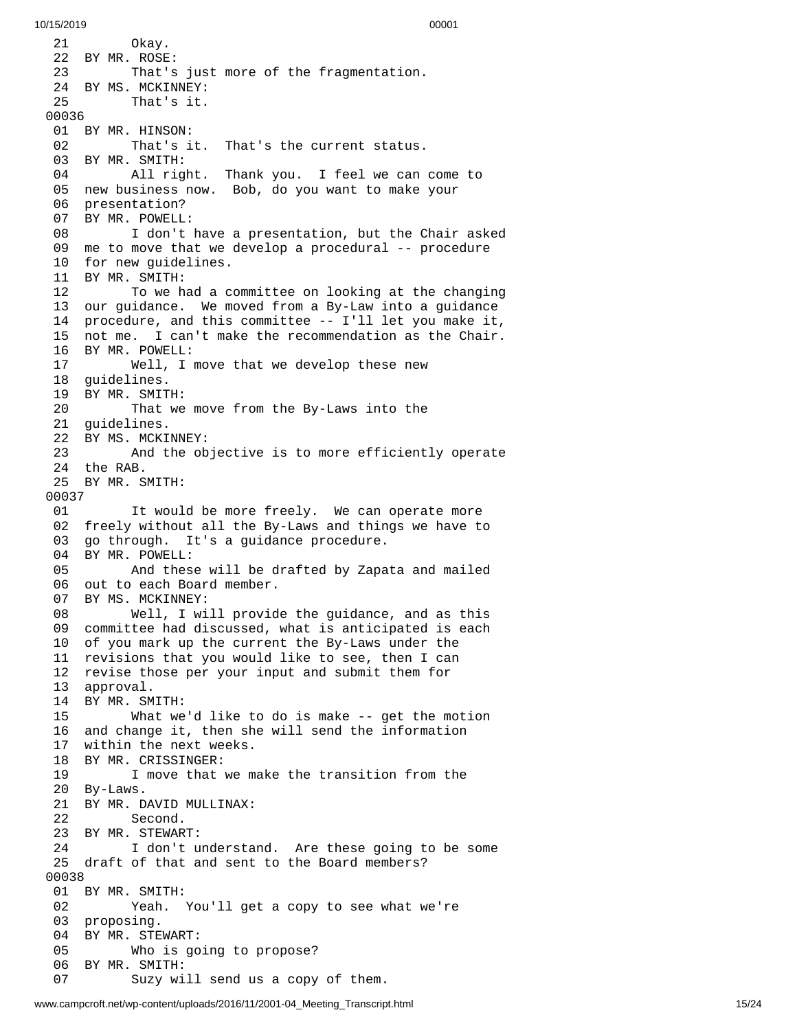1 Okay. BY MR. ROSE: 23 That's just more of the fragmentation. BY MS. MCKINNEY: That's it. BY MR. HINSON: That's it. That's the current status. BY MR. SMITH: 04 All right. Thank you. I feel we can come to 05 new business now. Bob, do you want to make your 06 presentation? 07 BY MR. POWELL: 08 I don't have a presentation, but the Chair asked 09 me to move that we develop a procedural -- procedure 10 for new guidelines. BY MR. SMITH: 12 To we had a committee on looking at the changing 13 our guidance. We moved from a By-Law into a guidance 14 procedure, and this committee -- I'll let you make it, 15 not me. I can't make the recommendation as the Chair. 16 BY MR. POWELL:<br>17 Well, I Well, I move that we develop these new guidelines. BY MR. SMITH: That we move from the By-Laws into the guidelines. BY MS. MCKINNEY: And the objective is to more efficiently operate the RAB. BY MR. SMITH: It would be more freely. We can operate more freely without all the By-Laws and things we have to go through. It's a guidance procedure. BY MR. POWELL: And these will be drafted by Zapata and mailed out to each Board member. BY MS. MCKINNEY: Well, I will provide the guidance, and as this committee had discussed, what is anticipated is each of you mark up the current the By-Laws under the revisions that you would like to see, then I can revise those per your input and submit them for approval. BY MR. SMITH: What we'd like to do is make -- get the motion and change it, then she will send the information within the next weeks. BY MR. CRISSINGER: I move that we make the transition from the By-Laws. 21 BY MR. DAVID MULLINAX:<br>22 Second. Second. BY MR. STEWART: I don't understand. Are these going to be some draft of that and sent to the Board members? BY MR. SMITH: Yeah. You'll get a copy to see what we're proposing. BY MR. STEWART: Who is going to propose? BY MR. SMITH: Suzy will send us a copy of them.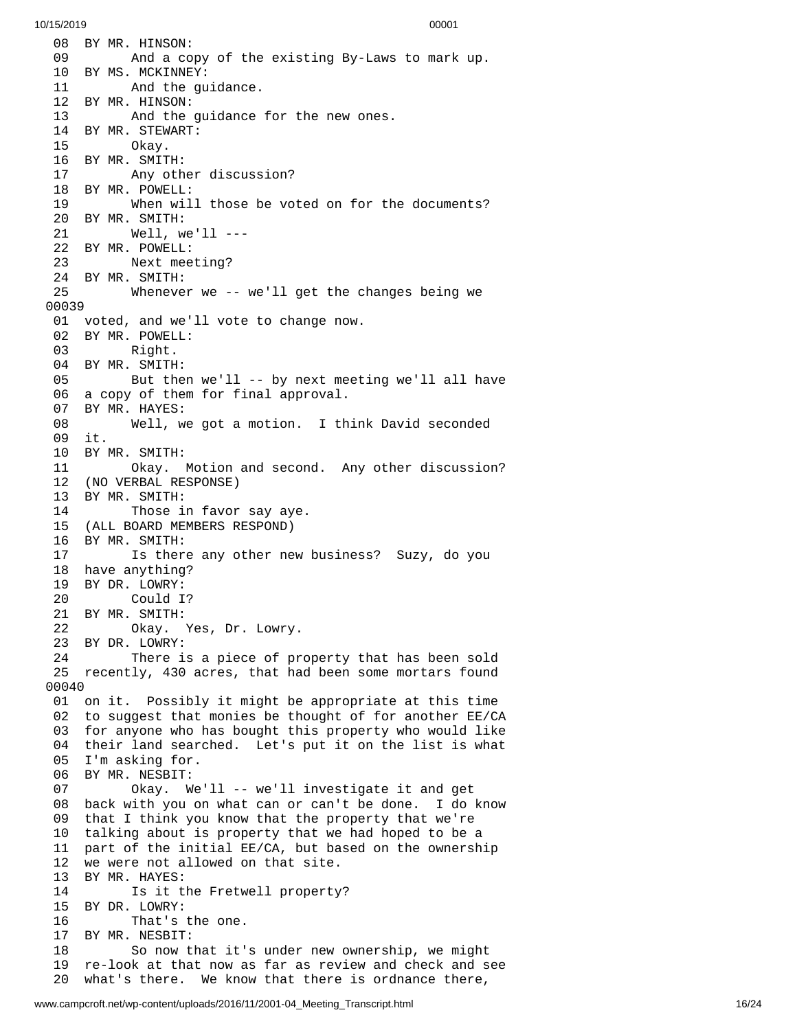08 BY MR. HINSON: 09 And a co p y o f t h e e x i s t i n g B y - L a w s t o m a r k u p. 10 BY MS. MCKINNEY: 11 And the guidance. 12 BY MR. HINSON: 13 And the guidance for the new ones. 14 BY MR. STEWART: 0kay. 16 BY MR. SMITH: 17 Any other discussion? 18 BY MR. POWELL: 19 When will those be voted on for the documents? 20 BY MR. SMITH: 21 Well, we'll --- 22 BY MR. POWELL: 23 Next meeting? 24 BY MR. SMITH: Whenever we -- we'll get the changes being we 0 0 0 3 9 01 voted, and we'll vote to change now. 02 BY MR. POWELL:<br>03 Right. Right. 04 BY MR. SMITH: 05 But then we'll -- by next meeting we'll all have 06 a copy of them for final approval. 07 BY MR. HAYES: 08 Well, we got a motion. I th i n k D a v i d s e c o n d e d 0 9 i t. 10 BY MR. SMITH: 11 Okay. M o t i o n a n d s e c o n d. A n y o t h e r d i s c u s s i o n ? 12 (NO VERBAL RESPONSE) 13 BY MR. SMITH: 14 Those i n f a v o r s a y a y e. 15 (ALL BOARD MEMBERS RESPOND) 16 BY MR. SMITH: 17 Is there any other new business? Suzy, do you 18 have anything? 19 BY DR. LOWRY: 20 Could I ? 21 BY MR. SMITH: 22 Okay. Y e s , D r. L o w r y. 23 BY DR. LOWRY: 24 There is a piece of property that has been sold 25 recently, 430 acres, that had been some mortars found 0 0 0 4 0 01 on it. Possibly it might be appropriate at this time 02 to suggest that monies be thought of for another EE/CA 03 for anyone who has bought this property who would like 04 their land searched. Let's put it on the list is what 05 I'm asking for. 06 BY MR. NESBIT: 07 Okay. We'l l - - w e'l l i n v e s t i g a t e i t a n d g e t 08 back with you on what can or can't be done. I do know 09 that I think you know that the property that we're 10 talking about is property that we had hoped to be a 11 part of the initial EE/CA, but based on the ownership 12 we were not allowed on that site. 13 BY MR. HAYES: 14 Is it the Fretwell property ? 1 5 B Y D R. L O W R Y: 16 That's the one. 17 BY MR. NESBIT: 18 So now that it's under new ownership, we might 19 re-look at that now as far as review and check and see 20 what's there. We know that there is ordnance there,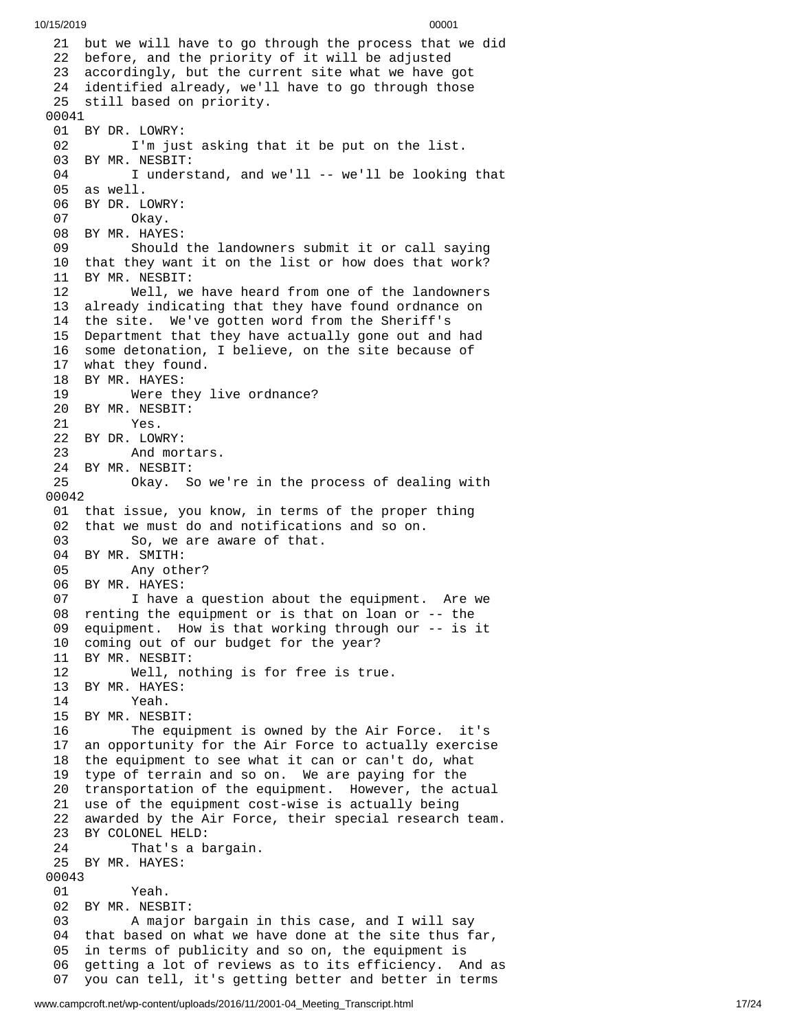```
10/15/2019 00001
```
21 but we will have to go through the process that we did 22 before, and the priority of it will be adjusted 23 accordingly, but the current site what we have got 24 identified already, we'll have to go through those 25 still based on priority. 00041 01 BY DR. LOWRY: 02 I'm just asking that it be put on the list. 03 BY MR. NESBIT: 04 I understand, and we'll -- we'll be looking that 05 as well. 06 BY DR. LOWRY: 07 Okay. 08 BY MR. HAYES: 09 Should the landowners submit it or call saying 10 that they want it on the list or how does that work? 11 BY MR. NESBIT: 12 Well, we h a v e h e a r d f r o m o n e o f t h e l a n d o w n e r s 13 already indicating that they have found ordnance on 14 the site. We've gotten word from the Sheriff's 15 Department that they have actually gone out and had 16 some detonation, I believe, on the site because of 17 what they found. 18 BY MR. HAYES: 19 Were they l i v e o r d n a n c e ? 20 BY MR. NESBIT: 21 Yes. 22 BY DR. LOWRY: 23 And mortars. 24 BY MR. NESBIT: 25 Okay. So we'r e i n t h e p r o c e s s o f d e a l i n g w i t h 0 0 0 4 2 01 that issue, you know, in terms of the proper thing 02 that we must do and notifications and so on. 03 So, we are aware of that. 04 BY MR. SMITH:<br>05 Any oth Any other? 06 BY MR. HAYES: 07 I have a question about the equipment. Are we 08 renting the equipment or is that on loan or -- the 09 equipment. How is that working through our -- is it 10 coming out of our budget for the year? 11 BY MR. NESBIT: 12 Well, no t h i n g i s f o r f r e e i s t r u e. 13 BY MR. HAYES:<br>14 Yeah. Yeah. 15 BY MR. NESBIT: 16 The equipment is owned by the Air F o r c e. i t's 17 an opportunity for the Air Force to actually exercise 18 the equipment to see what it can or can't do, what 19 type of terrain and so on. We are paying for the 20 transportation of the equipment. However, the actual 21 use of the equipment cost-wise is actually being 22 awarded by the Air Force, their special research team. 23 BY COLONEL HELD: 24 That's a bargain. 25 BY MR. HAYES: 00043 01 Yeah. 02 BY MR. NESBIT: 03 A major bargain in this case, and I will say 04 that based on what we have done at the site thus far, 05 in terms of publicity and so on, the equipment is 06 getting a lot of reviews as to its efficiency. And as 07 you can tell, it's getting better and better in terms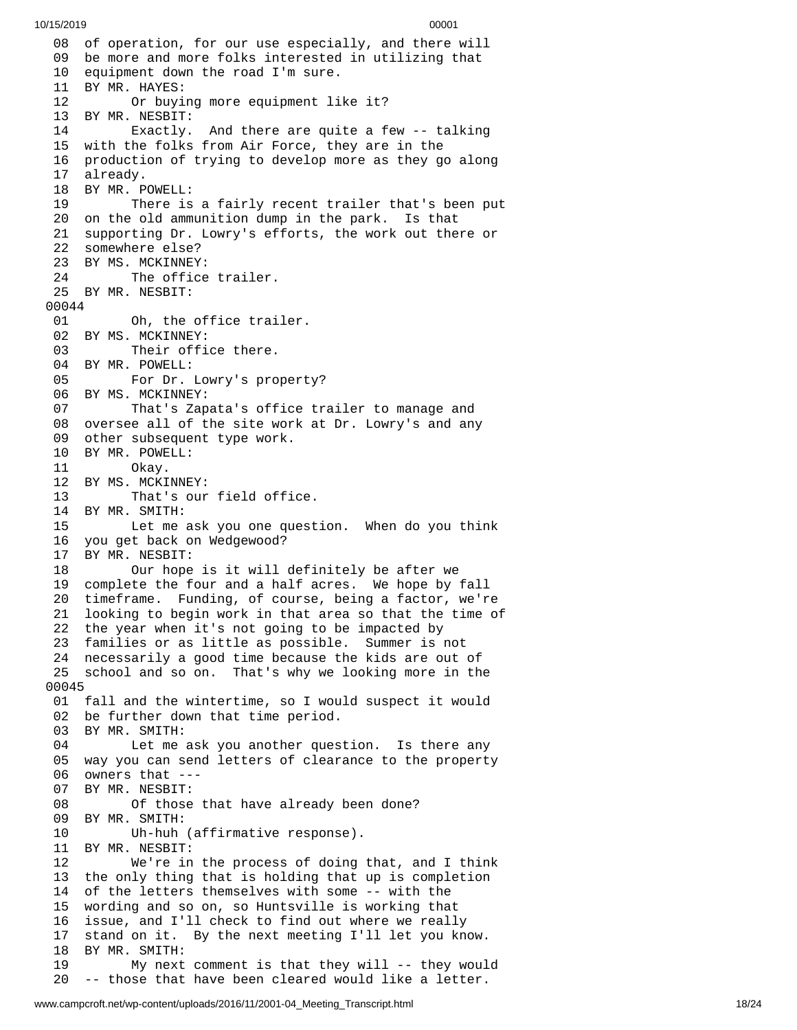08 of operation, for our use especially, and there will 09 be more and more folks interested in utilizing that 10 equipment down the road I'm sure. 11 BY MR. HAYES: 12 Or buying more equipment li k e i t ? 13 BY MR. NESBIT: 14 Exactly. And there are quite a few -- talking 15 with the folks from Air Force, they are in the 16 production of trying to develop more as they go along 17 already. 18 BY MR. P O W E L L: 19 There is a fairly recent trailer that's been put 20 on the old ammunition dump in the park. Is that 21 supporting Dr. Lowry's efforts, the work out there or 22 somewhere else? 23 BY MS. MCKINNEY: 24 The office trailer. 25 BY MR. NESBIT: 00044 01 Oh, the office trai l e r. 02 BY MS. MCKINNEY:<br>03 Their offi Their office there. 04 BY MR. POWELL: 05 For Dr. Lowry's propert y ? 06 BY MS. MCKINNEY: 07 That's Zapata's office trailer to manage and 08 oversee all of the site work at Dr. Lowry's and any 09 other subsequent type work. 10 BY MR. POWELL:<br>11 Okay. 0kay. 12 BY MS. MCKINNEY: 13 That's our field offi c e. 14 BY MR. SMITH: 15 Let me ask you one question. When do you think 16 you get back on Wedgewood? 17 BY MR. NESBIT: 18 Our hope i s i t w i l l d e f i n i t e l y b e a f t e r w e 19 complete the four and a half acres. We hope by fall 20 timeframe. Funding, of course, being a factor, we're 21 looking to begin work in that area so that the time of 22 the year when it's not going to be impacted by 23 families or as little as possible. Summer is not 24 necessarily a good time because the kids are out of 25 school and so on. That's why we looking more in the 0 0 0 4 5 01 fall and the wintertime, so I would suspect it would 02 be further down that time period. 03 BY MR. SMITH: 04 Let me ask you another question. Is there any 05 way you can send letters of clearance to the property 06 owners that ---07 BY MR. NESBIT: 08 Of those t h a t h a v e a l r e a d y b e e n d o n e ? 09 BY MR. SMITH: 10 Uh-huh (affirmative response). 11 BY MR. NESBIT: 12 We're in the process of doing t h a t , a n d I t h i n k 13 the only thing that is holding that up is completion 14 of the letters themselves with some -- with the 15 wording and so on, so Huntsville is working that 16 issue, and I'll check to find out where we really 17 stand on it. By the next meeting I'll let you know. 18 BY MR. SMITH: 19 My next comment is that they will -- they woul d 2 0 -- those that have been cleared would like a letter.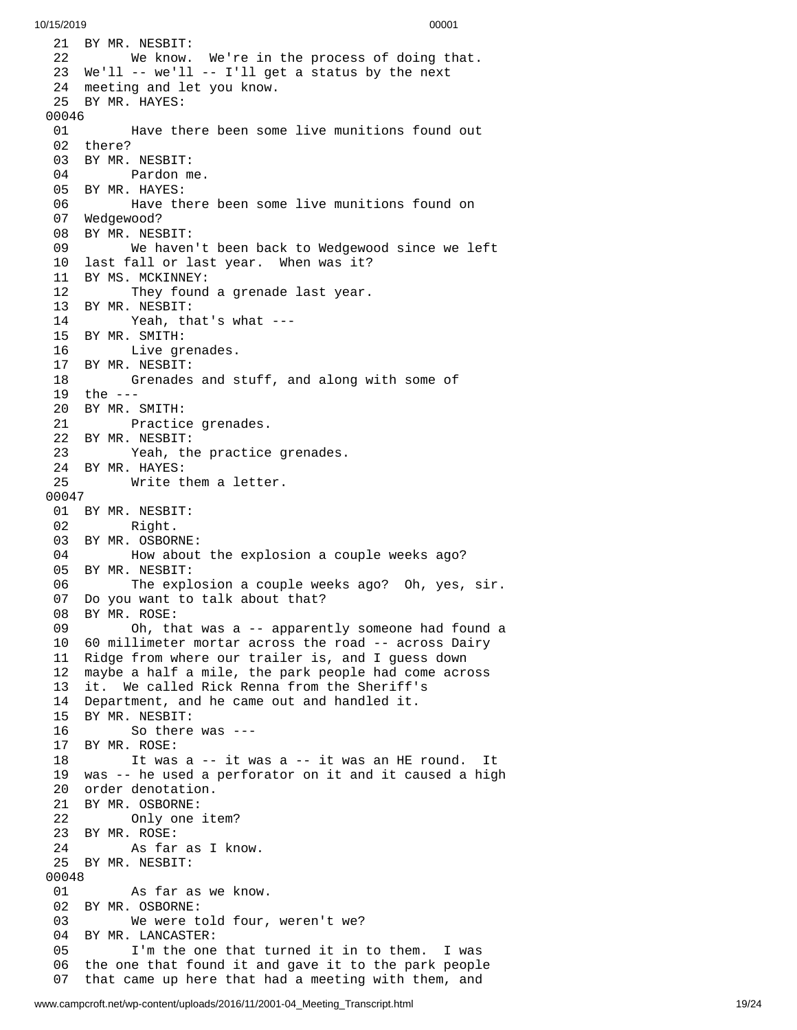21 BY MR. NESBIT: We know. W e'r e i n t h e p r o c e s s o f d o i n g t h a t. We'll -- we'll -- I'll get a status by the next meeting and let you know. BY MR. HAYES: Have there been some live munitions found out there? BY MR. NESBIT: Pardon me. BY MR. HAYES: Have there been some live munitions found on Wedgewood? BY MR. NESBIT: We haven't been back to Wedgewood since we le f t 10 last fall or last year. When was it? 11 BY MS. MCKINNEY: 12 They found a grenade last year. BY MR. NESBIT: Yeah, that's what --- BY MR. SMITH: Live grenades. BY MR. NESBIT: 18 Grenades and stuff, and along with some of 9 t h e - - - 20 BY MR. SMITH: 21 Practice grenades. BY MR. NESBIT: 23 Yeah, the practice grenades. BY MR. HAYES: Write them a letter. BY MR. NESBIT: Right. BY MR. OSBORNE: 04 How about the explosion a couple weeks ago? 05 BY MR. NESBIT: 06 The explosion a couple weeks ago? Oh, yes, sir. Do you want to talk about that? BY MR. ROSE: Oh, that was a -- apparently someone had found a 60 millimeter mortar across the road -- across Dairy Ridge from where our trailer is, and I guess down maybe a half a mile, the park people had come across it. We called Rick Renna from the Sheriff's Department, and he came out and handled it. BY MR. NESBIT: So there was --- BY MR. ROSE: It was a -- it was a -- it was an HE round. It was -- he used a perforator on it and it caused a high order denotation. 21 BY MR. OSBORNE:<br>22 Only one Only one item? BY MR. ROSE: As far as I know. BY MR. NESBIT: As far as we know. BY MR. OSBORNE: We were told four, weren't we? BY MR. LANCASTER: I'm the one that turned it in to them. I was the one that found it and gave it to the park people that came up here that had a meeting with them, and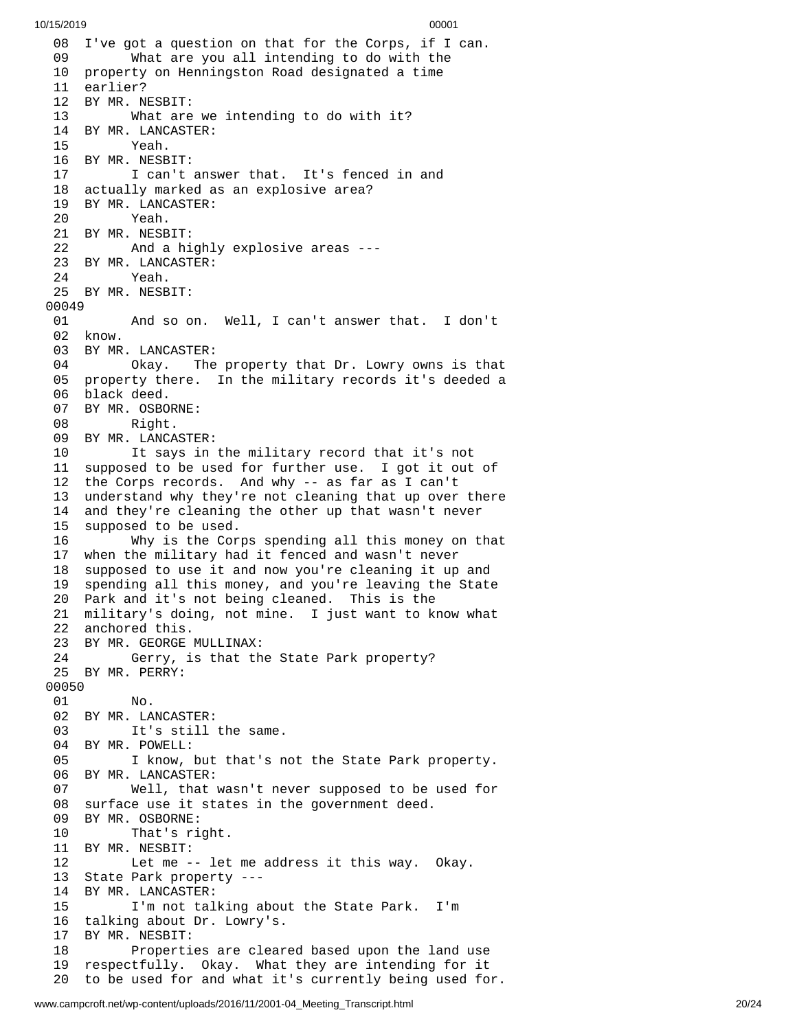08 I've got a question on that for the Corps, if I can. 09 What are you all intending to do with the 10 property on Henningston Road designated a time 11 earlier? 12 BY MR. NESBIT: 13 What are we intending to do with it? 14 BY MR. LANCASTER:<br>15 Yeah. Yeah. 16 BY MR. NESBIT: 17 I can't answer that. It's fenced in and 18 actually marked as an explosive area? 19 BY MR. LANCASTER: 20 Yeah. 21 BY MR. NESBIT: 22 And a highly explosive areas --- 23 BY MR. LANCASTER: 24 Yeah. 25 BY MR. NESBIT: 00049 01 And so on. Well, I can't answer that. I don't 02 know. 03 BY MR. LANCASTER:<br>04 0kay. The 04 Okay. The property that Dr. Lowry owns is tha t 05 property there. In the military records it's deeded a 06 black deed. 07 BY MR. OSBORNE: 08 Right. 09 BY MR. LANCASTE R: 10 It says in the military record that it's not 11 supposed to be used for further use. I got it out of 12 the Corps records. And why -- as far as I can't 13 understand why they're not cleaning that up over there 14 and they're cleaning the other up that wasn't never 15 supposed to be used. 16 Why is the Cor p s s p e n d i n g a l l t h i s m o n e y o n t h a t 17 when the military had it fenced and wasn't never 18 supposed to use it and now you're cleaning it up and 1 9 spending all this money, and you're leaving the State 20 Park and it's not being cleaned. This is the 21 military's doing, not mine. I just want to know what 22 anchored this. 23 BY MR. GEORGE MULLINAX: 24 Gerry, is that the State Park property? 25 BY MR. PERRY: 00050 01 No. 02 BY MR. LANCASTER: 03 It's still the same. 04 BY MR. POWELL: 05 I know, but that's not the State Park property. 06 BY MR. LANCASTER: 07 Well, that wasn't never supposed to be used for 08 surface use it states in the government deed. 09 BY MR. OSBORNE: 10 That's right. 11 BY MR. NESBIT: 12 Let me -- let me address it this way. Okay. 13 State Park property --- 14 BY MR. LANCASTER: 15 I'm not talking about the State Park. I'm 16 talking about Dr. Lowry's. 17 BY MR. NESBIT: 18 Properties are cleared based upon the land use 19 respectfully. Okay. What they are intending for it 20 to be used for and what it's currently being used for.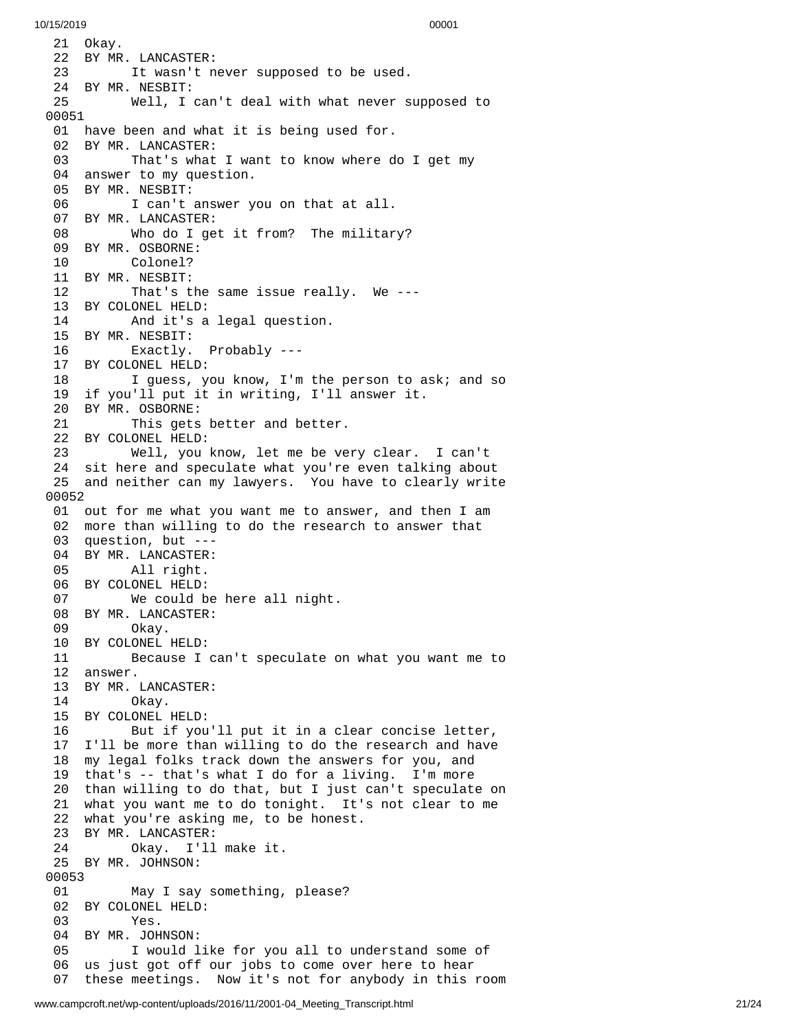21 Okay. 22 BY MR. LANCASTER: 23 It wasn't never supposed to be used. 24 BY MR. NESBIT: 25 Well, I can't deal with what never s u p p o s e d t o 00051 01 have been and what it is being used for. 02 BY MR. LANCASTER: 03 That's what I want to know where do I get my 04 answer to my question. 05 BY MR. NESBIT: 06 I can't answer you on that at all. 07 BY MR. LANCASTER: 08 Who do I get it from? The militar y ? 09 BY MR. OSBORNE: 10 Colonel? 11 BY MR. NESBIT: 12 That's the same issue really. We ---13 BY COLONEL HELD: 14 And it's a l e g a l q u e s t i o n. 15 BY MR. NESBIT: 16 Exactly. Probably --- 17 BY COLONEL HELD: 18 I guess, you know, I'm the person to ask; and so 19 if you'll put it in writing, I'll answer it. 20 BY MR. OSBORNE: 21 This gets better and better. 22 BY COLONEL HELD: 23 Well, you know, let me be very clear. I c a n't 24 sit here and speculate what you're even talking about 25 and neither can my lawyers. You have to clearly write 0 0 0 5 2 01 out for me what you want me to answer, and then I am 02 more than willing to do the research to answer that 03 question, but ---04 BY MR. LANCASTER: 05 All right. 06 BY COLONEL HELD: 07 We could be h e r e a l l n i g h t. 08 BY MR. LANCASTER: 09 Okay. 10 BY COLONEL HELD: 11 Because I can't speculate on what you want me to 1 2 a n s w e r. 13 BY MR. LANCASTER: 14 Okay. 15 BY COLONEL HELD: 16 But if you'll put it in a clear concise letter, 1 7 I'll be more than willing to do the research and have 18 my legal folks track down the answers for you, and 19 that's -- that's what I do for a living. I'm more 20 than willing to do that, but I just can't speculate on 21 what you want me to do tonight. It's not clear to me 22 what you're asking me, to be honest. 23 BY MR. LANCASTER: 24 Okay. I'll make it. 25 BY MR. JOHNSON: 00053 01 May I say something, please? 02 BY COLONEL HELD:<br>03 Yes. Yes. 04 BY MR. JOHNSON: 05 I would like for you all to understand some of 06 us just got off our jobs to come over here to hear 07 these meetings. Now it's not for anybody in this room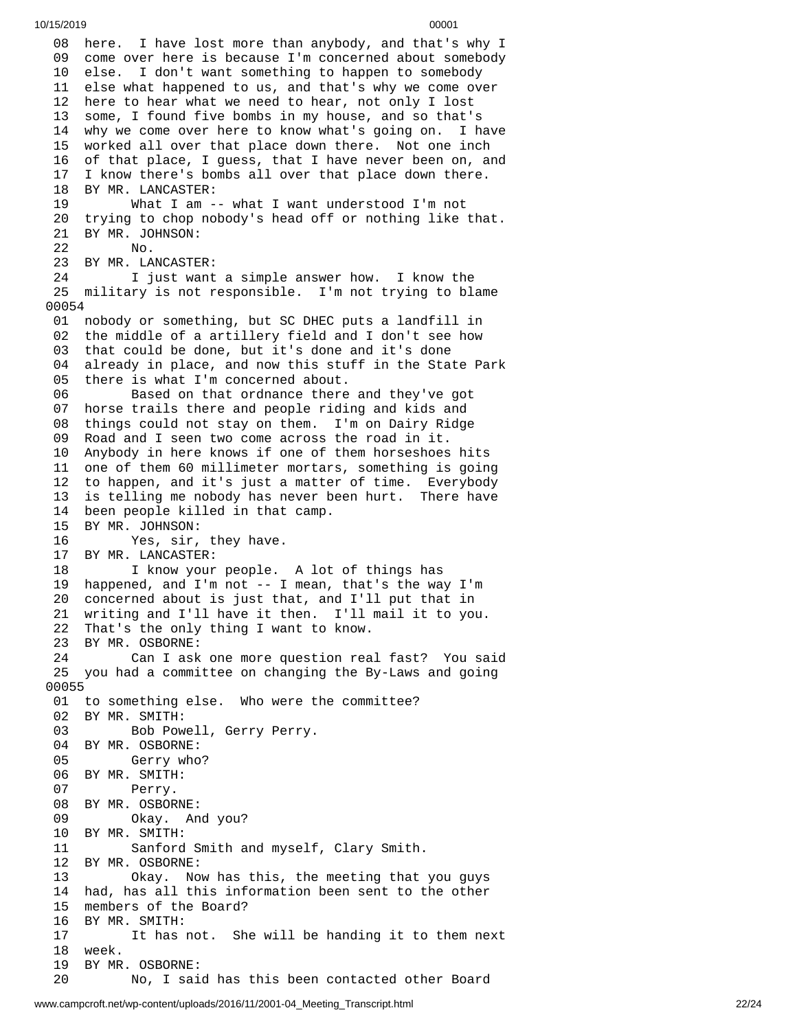08 here. I have lost more than anybody, and that's why I 09 come over here is because I'm concerned about somebody 10 else. I don't want something to happen to somebody 11 else what happened to us, and that's why we come over 12 here to hear what we need to hear, not only I lost 1 3 some, I found five bombs in my house, and so that's 14 why we come over here to know what's going on. I have 15 worked all over that place down there. Not one inch 16 of that place, I guess, that I have never been on, and 17 I know there's bombs all over that place down there. 18 BY MR. LANCASTER: 19 What I am -- what I want understood I'm not 20 trying to chop nobody's head off or nothing like tha t. 21 BY MR. JOHNSON: 22 No. 23 BY MR. LANCASTER:<br>24 I just want I just want a simple answer how. I know the 25 military is not responsible. I'm not trying to blame 0 0 0 5 4 01 nobody or something, but SC DHEC puts a landfill in 0 2 the middle of a artillery field and I don't see how 0 3 that could be done, but it's done and it's done 0 4 already in place, and now this stuff in the State Park 05 there is what I'm concerned about. 06 Based on that ordnance there and they've got 07 horse trails there and people riding and kids and 08 things could not stay on them. I'm on Dairy Ridge 09 Road and I seen two come across the road in it. 10 Anybody in here knows if one of them horseshoes h i t s 11 one of them 60 millimeter mortars, something is going 12 to happen, and it's just a matter of time. Everybody 13 is telling me nobody has never been hurt. There have 14 been people killed in that camp. 15 BY MR. JOHNSON: 16 Yes, sir, they have. 17 BY MR. LANCASTER: 18 I know your people. A lot of things has 19 happened, and I'm not -- I mean, that's the way I'm 20 concerned about is just that, and I'll put that in 21 writing and I'll have it then. I'll mail it to you. 22 That's the only thing I want to know. 23 BY MR. OSBORNE: 24 Can I ask one more question real fast? You sa i d 25 you had a committee on changing the By-Laws and going 0 0 0 5 5 01 to something else. Who were the committee? 02 BY MR. SMITH: 03 Bob Pow e l l , G e r r y P e r r y. 04 BY MR. OSBORNE: 05 Gerry who? 06 BY MR. SMITH: 07 Perry. 08 BY MR. OSBORNE: 09 Okay. And you? 10 BY MR. SMITH: 11 Sanford Smith and myself , C l a r y S m i t h. 12 BY MR. OSBORNE: 13 Okay. Now has this, the meeting that y o u g u y s 14 had, has all this information been sent to the other 1 5 members of the Board? 16 BY MR. SMITH: 17 It has not. She will be handing it to them next 18 week. 19 BY MR. OSBORNE: 20 No, I said has this been contacted other Board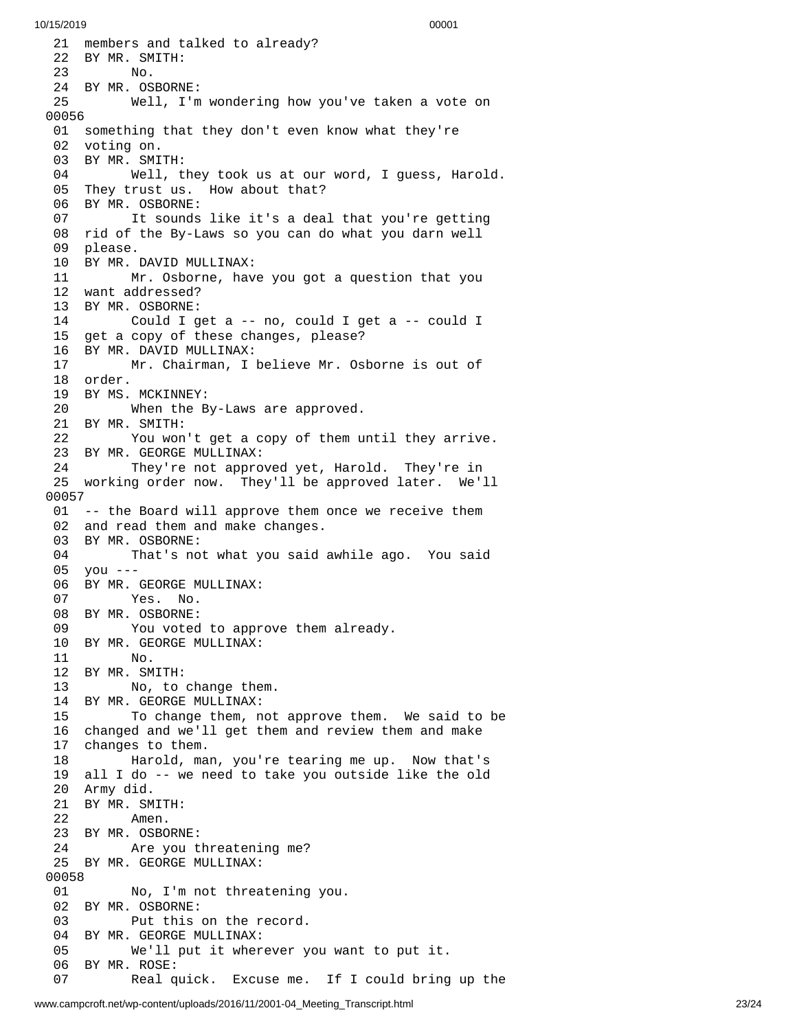21 members and talked to already? 22 BY MR. SMITH: No. BY MR. OSBORN E: Well, I'm w o n d e r i n g h o w y o u'v e t a k e n a v o t e o n 0 0 5 6 01 something that they don't even know what they're 02 voting on. BY MR. SMI T H: Well, t h e y t o o k u s a t o u r w o r d , I g u e s s , H a r o l d. They trust us. How about that? BY MR. OSBORNE: It sounds like it's a deal that you're getting rid of the By-Laws so you can do what you darn well please. BY MR. DAVID MULLINAX: Mr. Osborne, have you got a question that you want addressed? BY MR. OSBORNE: Could I get a -- no, could I get a -- could I get a copy of these changes, please? BY MR. DAVID MULLINAX: Mr. Chairman, I believe Mr. Osborne is out of order. BY MS. MCKINNEY: When the By-Laws are approved. BY MR. SMITH: You won't get a copy of them until they arrive. BY MR. GEORGE MULLINAX: They're not approved yet, Harold. They're in working order now. They'll be approved later. We'll 0 0 5 7 01 -- the Board will approve them once we receive them 02 and read them and make changes. BY MR. OSBORNE: 04 That's not what you said awhile ago. You said 05 you ---06 BY MR. GEORGE MULLINAX: Yes. No. BY MR. OSBORNE: 09 You voted to approve them already. BY MR. GEORGE MULLINAX: No. BY MR. SMITH: No, to change them. BY MR. GEORGE MULLINAX: 15 To change them, not approve them. We said to be 16 changed and we'll get them and review them and make 7 changes to them. 18 Harold, man, you're tearing me up. Now that's 19 all I do -- we need to take you outside like the old 20 Army did. 21 BY MR. SMITH: Amen. BY MR. OSBORN E: Are you t h r e a t e n i n g m e ? 25 BY MR. GEORGE MULLINAX: No, I'm not threa t e n i n g y o u. BY MR. OSBORNE: Put this on the record. BY MR. GEORGE MULLINAX: 05 We'll put it wherever you want to put it. BY MR. ROSE: 07 Real quick. Excuse me. If I could bring up the